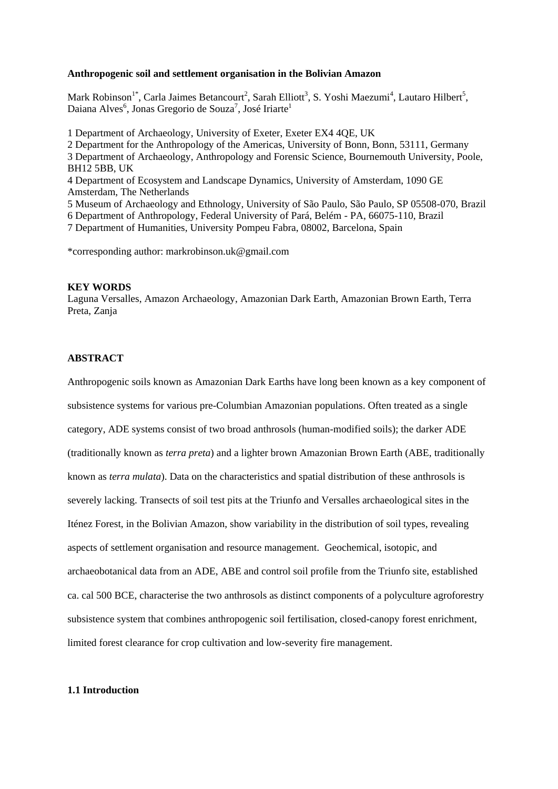#### **Anthropogenic soil and settlement organisation in the Bolivian Amazon**

Mark Robinson<sup>1\*</sup>, Carla Jaimes Betancourt<sup>2</sup>, Sarah Elliott<sup>3</sup>, S. Yoshi Maezumi<sup>4</sup>, Lautaro Hilbert<sup>5</sup>, Daiana Alves<sup>6</sup>, Jonas Gregorio de Souza<sup>7</sup>, José Iriarte<sup>1</sup>

1 Department of Archaeology, University of Exeter, Exeter EX4 4QE, UK 2 Department for the Anthropology of the Americas, University of Bonn, Bonn, 53111, Germany 3 Department of Archaeology, Anthropology and Forensic Science, Bournemouth University, Poole, BH12 5BB, UK 4 Department of Ecosystem and Landscape Dynamics, University of Amsterdam, 1090 GE Amsterdam, The Netherlands 5 Museum of Archaeology and Ethnology, University of São Paulo, São Paulo, SP 05508-070, Brazil 6 Department of Anthropology, Federal University of Pará, Belém - PA, 66075-110, Brazil 7 Department of Humanities, University Pompeu Fabra, 08002, Barcelona, Spain

\*corresponding author: markrobinson.uk@gmail.com

#### **KEY WORDS**

Laguna Versalles, Amazon Archaeology, Amazonian Dark Earth, Amazonian Brown Earth, Terra Preta, Zanja

### **ABSTRACT**

Anthropogenic soils known as Amazonian Dark Earths have long been known as a key component of subsistence systems for various pre-Columbian Amazonian populations. Often treated as a single category, ADE systems consist of two broad anthrosols (human-modified soils); the darker ADE (traditionally known as *terra preta*) and a lighter brown Amazonian Brown Earth (ABE, traditionally known as *terra mulata*). Data on the characteristics and spatial distribution of these anthrosols is severely lacking. Transects of soil test pits at the Triunfo and Versalles archaeological sites in the Iténez Forest, in the Bolivian Amazon, show variability in the distribution of soil types, revealing aspects of settlement organisation and resource management. Geochemical, isotopic, and archaeobotanical data from an ADE, ABE and control soil profile from the Triunfo site, established ca. cal 500 BCE, characterise the two anthrosols as distinct components of a polyculture agroforestry subsistence system that combines anthropogenic soil fertilisation, closed-canopy forest enrichment, limited forest clearance for crop cultivation and low-severity fire management.

#### **1.1 Introduction**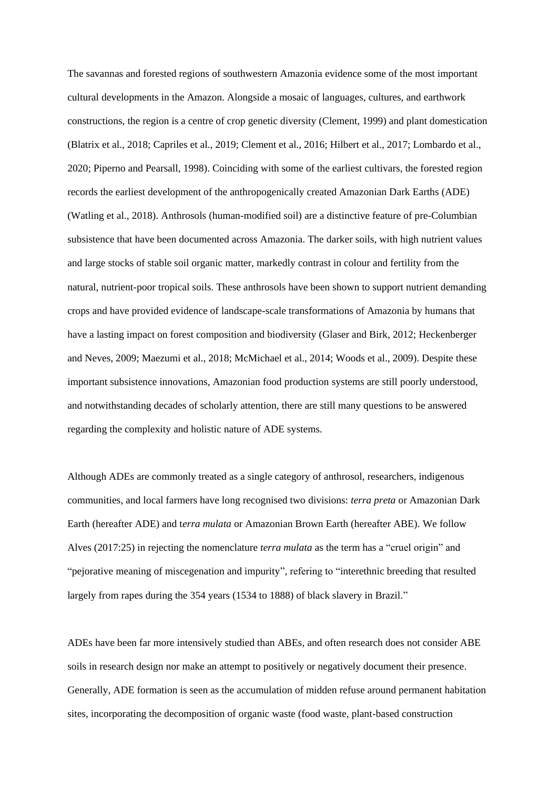The savannas and forested regions of southwestern Amazonia evidence some of the most important cultural developments in the Amazon. Alongside a mosaic of languages, cultures, and earthwork constructions, the region is a centre of crop genetic diversity (Clement, 1999) and plant domestication (Blatrix et al., 2018; Capriles et al., 2019; Clement et al., 2016; Hilbert et al., 2017; Lombardo et al., 2020; Piperno and Pearsall, 1998). Coinciding with some of the earliest cultivars, the forested region records the earliest development of the anthropogenically created Amazonian Dark Earths (ADE) (Watling et al., 2018). Anthrosols (human-modified soil) are a distinctive feature of pre-Columbian subsistence that have been documented across Amazonia. The darker soils, with high nutrient values and large stocks of stable soil organic matter, markedly contrast in colour and fertility from the natural, nutrient-poor tropical soils. These anthrosols have been shown to support nutrient demanding crops and have provided evidence of landscape-scale transformations of Amazonia by humans that have a lasting impact on forest composition and biodiversity (Glaser and Birk, 2012; Heckenberger and Neves, 2009; Maezumi et al., 2018; McMichael et al., 2014; Woods et al., 2009). Despite these important subsistence innovations, Amazonian food production systems are still poorly understood, and notwithstanding decades of scholarly attention, there are still many questions to be answered regarding the complexity and holistic nature of ADE systems.

Although ADEs are commonly treated as a single category of anthrosol, researchers, indigenous communities, and local farmers have long recognised two divisions: *terra preta* or Amazonian Dark Earth (hereafter ADE) and t*erra mulata* or Amazonian Brown Earth (hereafter ABE). We follow Alves (2017:25) in rejecting the nomenclature *terra mulata* as the term has a "cruel origin" and "pejorative meaning of miscegenation and impurity", refering to "interethnic breeding that resulted largely from rapes during the 354 years (1534 to 1888) of black slavery in Brazil."

ADEs have been far more intensively studied than ABEs, and often research does not consider ABE soils in research design nor make an attempt to positively or negatively document their presence. Generally, ADE formation is seen as the accumulation of midden refuse around permanent habitation sites, incorporating the decomposition of organic waste (food waste, plant-based construction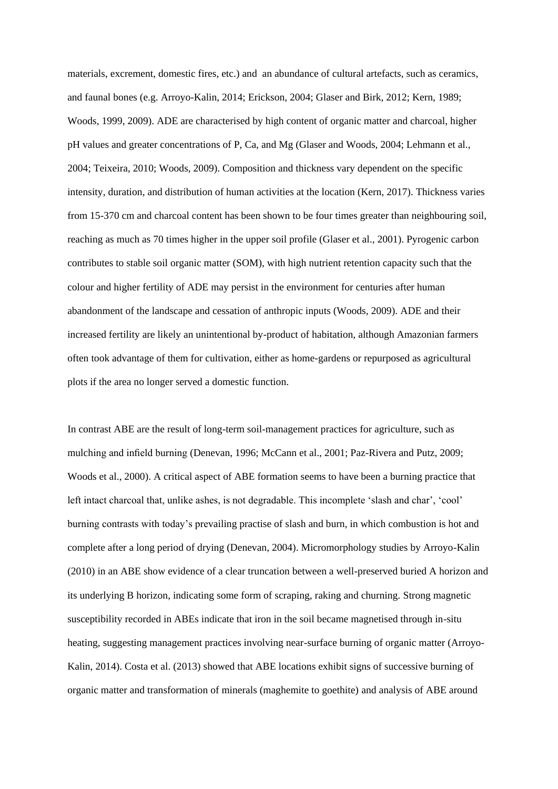materials, excrement, domestic fires, etc.) and an abundance of cultural artefacts, such as ceramics, and faunal bones (e.g. Arroyo-Kalin, 2014; Erickson, 2004; Glaser and Birk, 2012; Kern, 1989; Woods, 1999, 2009). ADE are characterised by high content of organic matter and charcoal, higher pH values and greater concentrations of P, Ca, and Mg (Glaser and Woods, 2004; Lehmann et al., 2004; Teixeira, 2010; Woods, 2009). Composition and thickness vary dependent on the specific intensity, duration, and distribution of human activities at the location (Kern, 2017). Thickness varies from 15-370 cm and charcoal content has been shown to be four times greater than neighbouring soil, reaching as much as 70 times higher in the upper soil profile (Glaser et al., 2001). Pyrogenic carbon contributes to stable soil organic matter (SOM), with high nutrient retention capacity such that the colour and higher fertility of ADE may persist in the environment for centuries after human abandonment of the landscape and cessation of anthropic inputs (Woods, 2009). ADE and their increased fertility are likely an unintentional by-product of habitation, although Amazonian farmers often took advantage of them for cultivation, either as home-gardens or repurposed as agricultural plots if the area no longer served a domestic function.

In contrast ABE are the result of long-term soil-management practices for agriculture, such as mulching and infield burning (Denevan, 1996; McCann et al., 2001; Paz-Rivera and Putz, 2009; Woods et al., 2000). A critical aspect of ABE formation seems to have been a burning practice that left intact charcoal that, unlike ashes, is not degradable. This incomplete 'slash and char', 'cool' burning contrasts with today's prevailing practise of slash and burn, in which combustion is hot and complete after a long period of drying (Denevan, 2004). Micromorphology studies by Arroyo-Kalin (2010) in an ABE show evidence of a clear truncation between a well-preserved buried A horizon and its underlying B horizon, indicating some form of scraping, raking and churning. Strong magnetic susceptibility recorded in ABEs indicate that iron in the soil became magnetised through in-situ heating, suggesting management practices involving near-surface burning of organic matter (Arroyo-Kalin, 2014). Costa et al. (2013) showed that ABE locations exhibit signs of successive burning of organic matter and transformation of minerals (maghemite to goethite) and analysis of ABE around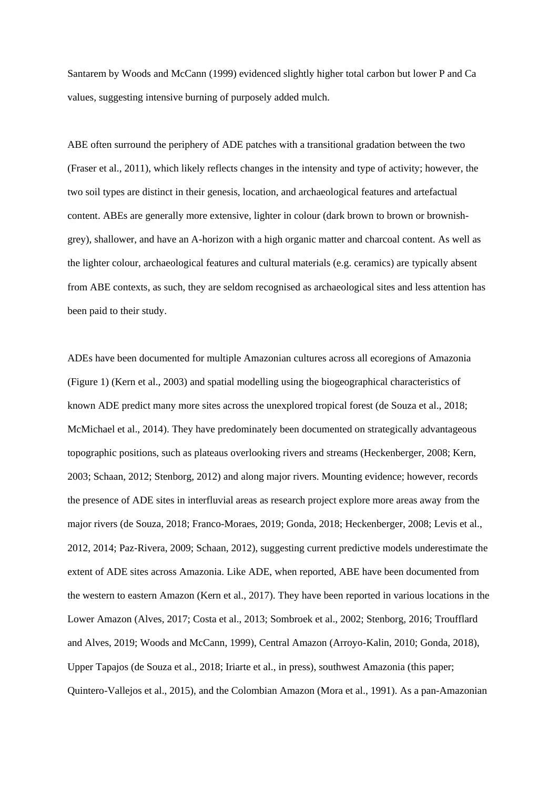Santarem by Woods and McCann (1999) evidenced slightly higher total carbon but lower P and Ca values, suggesting intensive burning of purposely added mulch.

ABE often surround the periphery of ADE patches with a transitional gradation between the two (Fraser et al., 2011), which likely reflects changes in the intensity and type of activity; however, the two soil types are distinct in their genesis, location, and archaeological features and artefactual content. ABEs are generally more extensive, lighter in colour (dark brown to brown or brownishgrey), shallower, and have an A-horizon with a high organic matter and charcoal content. As well as the lighter colour, archaeological features and cultural materials (e.g. ceramics) are typically absent from ABE contexts, as such, they are seldom recognised as archaeological sites and less attention has been paid to their study.

ADEs have been documented for multiple Amazonian cultures across all ecoregions of Amazonia (Figure 1) (Kern et al., 2003) and spatial modelling using the biogeographical characteristics of known ADE predict many more sites across the unexplored tropical forest (de Souza et al., 2018; McMichael et al., 2014). They have predominately been documented on strategically advantageous topographic positions, such as plateaus overlooking rivers and streams (Heckenberger, 2008; Kern, 2003; Schaan, 2012; Stenborg, 2012) and along major rivers. Mounting evidence; however, records the presence of ADE sites in interfluvial areas as research project explore more areas away from the major rivers (de Souza, 2018; Franco-Moraes, 2019; Gonda, 2018; Heckenberger, 2008; Levis et al., 2012, 2014; Paz‐Rivera, 2009; Schaan, 2012), suggesting current predictive models underestimate the extent of ADE sites across Amazonia. Like ADE, when reported, ABE have been documented from the western to eastern Amazon (Kern et al., 2017). They have been reported in various locations in the Lower Amazon (Alves, 2017; Costa et al., 2013; Sombroek et al., 2002; Stenborg, 2016; Troufflard and Alves, 2019; Woods and McCann, 1999), Central Amazon (Arroyo-Kalin, 2010; Gonda, 2018), Upper Tapajos (de Souza et al., 2018; Iriarte et al., in press), southwest Amazonia (this paper; Quintero-Vallejos et al., 2015), and the Colombian Amazon (Mora et al., 1991). As a pan-Amazonian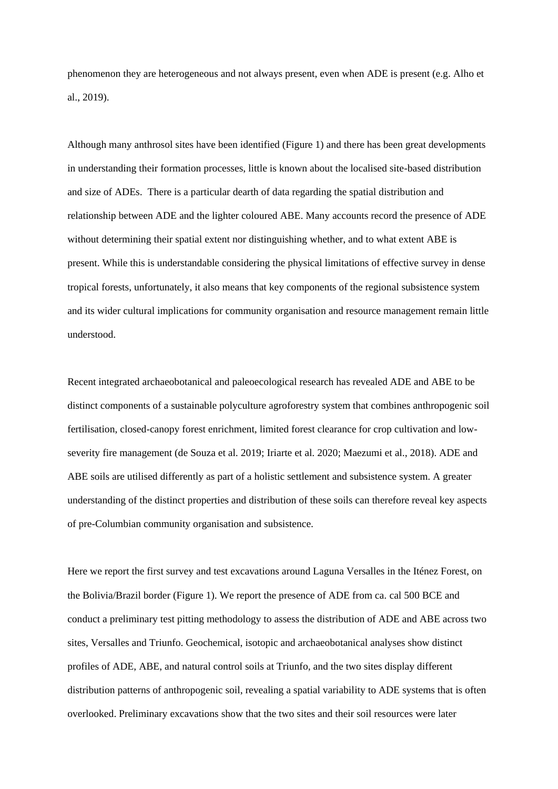phenomenon they are heterogeneous and not always present, even when ADE is present (e.g. Alho et al., 2019).

Although many anthrosol sites have been identified (Figure 1) and there has been great developments in understanding their formation processes, little is known about the localised site-based distribution and size of ADEs. There is a particular dearth of data regarding the spatial distribution and relationship between ADE and the lighter coloured ABE. Many accounts record the presence of ADE without determining their spatial extent nor distinguishing whether, and to what extent ABE is present. While this is understandable considering the physical limitations of effective survey in dense tropical forests, unfortunately, it also means that key components of the regional subsistence system and its wider cultural implications for community organisation and resource management remain little understood.

Recent integrated archaeobotanical and paleoecological research has revealed ADE and ABE to be distinct components of a sustainable polyculture agroforestry system that combines anthropogenic soil fertilisation, closed-canopy forest enrichment, limited forest clearance for crop cultivation and lowseverity fire management (de Souza et al. 2019; Iriarte et al. 2020; Maezumi et al., 2018). ADE and ABE soils are utilised differently as part of a holistic settlement and subsistence system. A greater understanding of the distinct properties and distribution of these soils can therefore reveal key aspects of pre-Columbian community organisation and subsistence.

Here we report the first survey and test excavations around Laguna Versalles in the Iténez Forest, on the Bolivia/Brazil border (Figure 1). We report the presence of ADE from ca. cal 500 BCE and conduct a preliminary test pitting methodology to assess the distribution of ADE and ABE across two sites, Versalles and Triunfo. Geochemical, isotopic and archaeobotanical analyses show distinct profiles of ADE, ABE, and natural control soils at Triunfo, and the two sites display different distribution patterns of anthropogenic soil, revealing a spatial variability to ADE systems that is often overlooked. Preliminary excavations show that the two sites and their soil resources were later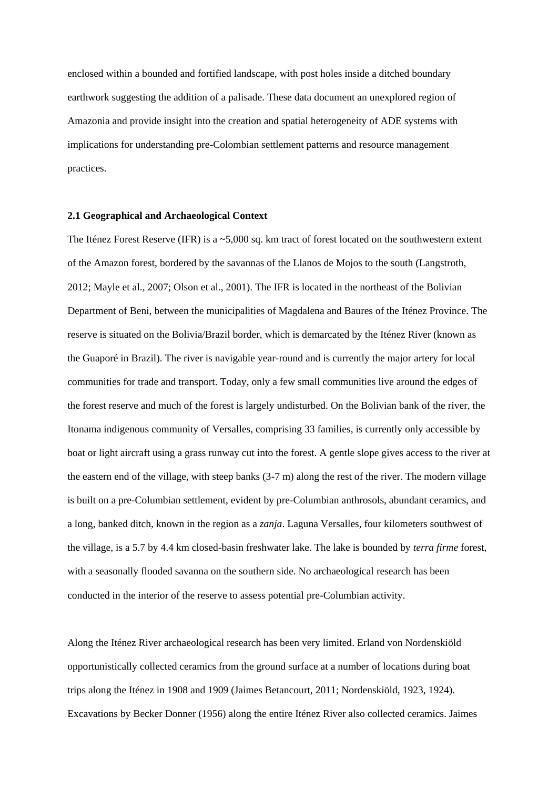enclosed within a bounded and fortified landscape, with post holes inside a ditched boundary earthwork suggesting the addition of a palisade. These data document an unexplored region of Amazonia and provide insight into the creation and spatial heterogeneity of ADE systems with implications for understanding pre-Colombian settlement patterns and resource management practices.

### **2.1 Geographical and Archaeological Context**

The Iténez Forest Reserve (IFR) is a ~5,000 sq. km tract of forest located on the southwestern extent of the Amazon forest, bordered by the savannas of the Llanos de Mojos to the south (Langstroth, 2012; Mayle et al., 2007; Olson et al., 2001). The IFR is located in the northeast of the Bolivian Department of Beni, between the municipalities of Magdalena and Baures of the Iténez Province. The reserve is situated on the Bolivia/Brazil border, which is demarcated by the Iténez River (known as the Guaporé in Brazil). The river is navigable year-round and is currently the major artery for local communities for trade and transport. Today, only a few small communities live around the edges of the forest reserve and much of the forest is largely undisturbed. On the Bolivian bank of the river, the Itonama indigenous community of Versalles, comprising 33 families, is currently only accessible by boat or light aircraft using a grass runway cut into the forest. A gentle slope gives access to the river at the eastern end of the village, with steep banks (3-7 m) along the rest of the river. The modern village is built on a pre-Columbian settlement, evident by pre-Columbian anthrosols, abundant ceramics, and a long, banked ditch, known in the region as a *zanja*. Laguna Versalles, four kilometers southwest of the village, is a 5.7 by 4.4 km closed-basin freshwater lake. The lake is bounded by *terra firme* forest, with a seasonally flooded savanna on the southern side. No archaeological research has been conducted in the interior of the reserve to assess potential pre-Columbian activity.

Along the Iténez River archaeological research has been very limited. Erland von Nordenskiöld opportunistically collected ceramics from the ground surface at a number of locations during boat trips along the Iténez in 1908 and 1909 (Jaimes Betancourt, 2011; Nordenskiöld, 1923, 1924). Excavations by Becker Donner (1956) along the entire Iténez River also collected ceramics. Jaimes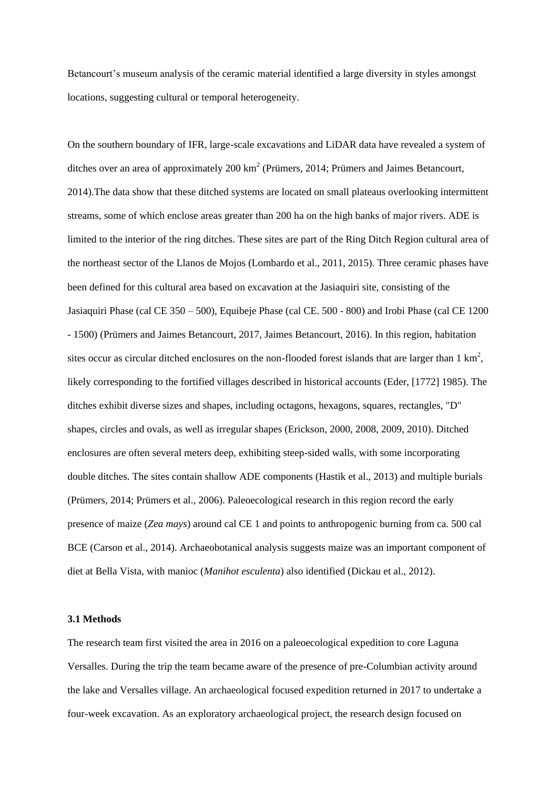Betancourt's museum analysis of the ceramic material identified a large diversity in styles amongst locations, suggesting cultural or temporal heterogeneity.

On the southern boundary of IFR, large-scale excavations and LiDAR data have revealed a system of ditches over an area of approximately  $200 \text{ km}^2$  (Prümers,  $2014$ ; Prümers and Jaimes Betancourt, 2014).The data show that these ditched systems are located on small plateaus overlooking intermittent streams, some of which enclose areas greater than 200 ha on the high banks of major rivers. ADE is limited to the interior of the ring ditches. These sites are part of the Ring Ditch Region cultural area of the northeast sector of the Llanos de Mojos (Lombardo et al., 2011, 2015). Three ceramic phases have been defined for this cultural area based on excavation at the Jasiaquiri site, consisting of the Jasiaquiri Phase (cal CE 350 – 500), Equibeje Phase (cal CE. 500 - 800) and Irobi Phase (cal CE 1200 - 1500) (Prümers and Jaimes Betancourt, 2017, Jaimes Betancourt, 2016). In this region, habitation sites occur as circular ditched enclosures on the non-flooded forest islands that are larger than  $1 \text{ km}^2$ , likely corresponding to the fortified villages described in historical accounts (Eder, [1772] 1985). The ditches exhibit diverse sizes and shapes, including octagons, hexagons, squares, rectangles, "D" shapes, circles and ovals, as well as irregular shapes (Erickson, 2000, 2008, 2009, 2010). Ditched enclosures are often several meters deep, exhibiting steep-sided walls, with some incorporating double ditches. The sites contain shallow ADE components (Hastik et al., 2013) and multiple burials (Prümers, 2014; Prümers et al., 2006). Paleoecological research in this region record the early presence of maize (*Zea mays*) around cal CE 1 and points to anthropogenic burning from ca. 500 cal BCE (Carson et al., 2014). Archaeobotanical analysis suggests maize was an important component of diet at Bella Vista, with manioc (*Manihot esculenta*) also identified (Dickau et al., 2012).

#### **3.1 Methods**

The research team first visited the area in 2016 on a paleoecological expedition to core Laguna Versalles. During the trip the team became aware of the presence of pre-Columbian activity around the lake and Versalles village. An archaeological focused expedition returned in 2017 to undertake a four-week excavation. As an exploratory archaeological project, the research design focused on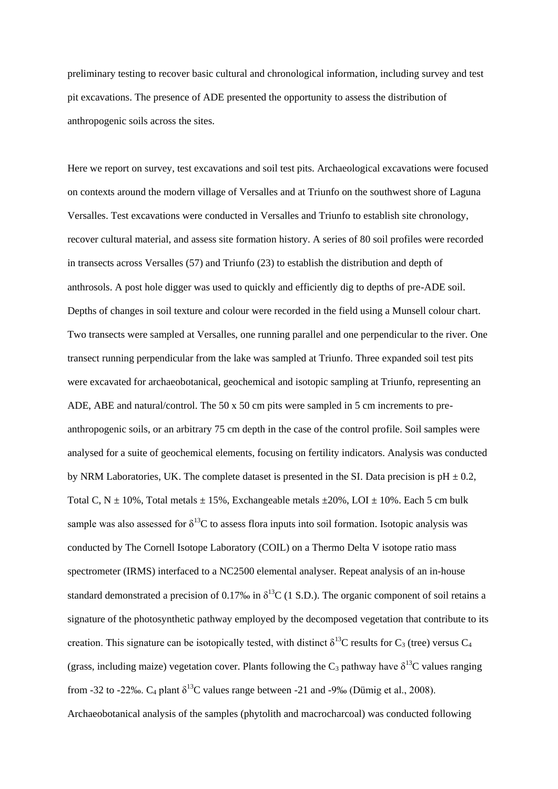preliminary testing to recover basic cultural and chronological information, including survey and test pit excavations. The presence of ADE presented the opportunity to assess the distribution of anthropogenic soils across the sites.

Here we report on survey, test excavations and soil test pits. Archaeological excavations were focused on contexts around the modern village of Versalles and at Triunfo on the southwest shore of Laguna Versalles. Test excavations were conducted in Versalles and Triunfo to establish site chronology, recover cultural material, and assess site formation history. A series of 80 soil profiles were recorded in transects across Versalles (57) and Triunfo (23) to establish the distribution and depth of anthrosols. A post hole digger was used to quickly and efficiently dig to depths of pre-ADE soil. Depths of changes in soil texture and colour were recorded in the field using a Munsell colour chart. Two transects were sampled at Versalles, one running parallel and one perpendicular to the river. One transect running perpendicular from the lake was sampled at Triunfo. Three expanded soil test pits were excavated for archaeobotanical, geochemical and isotopic sampling at Triunfo, representing an ADE, ABE and natural/control. The 50 x 50 cm pits were sampled in 5 cm increments to preanthropogenic soils, or an arbitrary 75 cm depth in the case of the control profile. Soil samples were analysed for a suite of geochemical elements, focusing on fertility indicators. Analysis was conducted by NRM Laboratories, UK. The complete dataset is presented in the SI. Data precision is  $pH \pm 0.2$ , Total C, N  $\pm$  10%, Total metals  $\pm$  15%, Exchangeable metals  $\pm$ 20%, LOI  $\pm$  10%. Each 5 cm bulk sample was also assessed for  $\delta^{13}C$  to assess flora inputs into soil formation. Isotopic analysis was conducted by The Cornell Isotope Laboratory (COIL) on a Thermo Delta V isotope ratio mass spectrometer (IRMS) interfaced to a NC2500 elemental analyser. Repeat analysis of an in-house standard demonstrated a precision of 0.17‰ in  $\delta^{13}C$  (1 S.D.). The organic component of soil retains a signature of the photosynthetic pathway employed by the decomposed vegetation that contribute to its creation. This signature can be isotopically tested, with distinct  $\delta^{13}C$  results for C<sub>3</sub> (tree) versus C<sub>4</sub> (grass, including maize) vegetation cover. Plants following the  $C_3$  pathway have  $\delta^{13}C$  values ranging from -32 to -22‰.  $C_4$  plant  $\delta^{13}C$  values range between -21 and -9‰ (Dümig et al., 2008). Archaeobotanical analysis of the samples (phytolith and macrocharcoal) was conducted following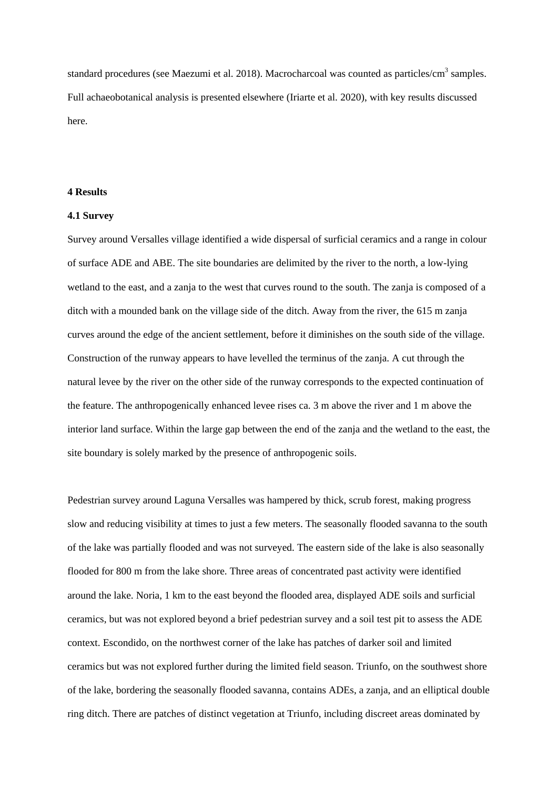standard procedures (see Maezumi et al. 2018). Macrocharcoal was counted as particles/cm<sup>3</sup> samples. Full achaeobotanical analysis is presented elsewhere (Iriarte et al. 2020), with key results discussed here.

#### **4 Results**

### **4.1 Survey**

Survey around Versalles village identified a wide dispersal of surficial ceramics and a range in colour of surface ADE and ABE. The site boundaries are delimited by the river to the north, a low-lying wetland to the east, and a zanja to the west that curves round to the south. The zanja is composed of a ditch with a mounded bank on the village side of the ditch. Away from the river, the 615 m zanja curves around the edge of the ancient settlement, before it diminishes on the south side of the village. Construction of the runway appears to have levelled the terminus of the zanja. A cut through the natural levee by the river on the other side of the runway corresponds to the expected continuation of the feature. The anthropogenically enhanced levee rises ca. 3 m above the river and 1 m above the interior land surface. Within the large gap between the end of the zanja and the wetland to the east, the site boundary is solely marked by the presence of anthropogenic soils.

Pedestrian survey around Laguna Versalles was hampered by thick, scrub forest, making progress slow and reducing visibility at times to just a few meters. The seasonally flooded savanna to the south of the lake was partially flooded and was not surveyed. The eastern side of the lake is also seasonally flooded for 800 m from the lake shore. Three areas of concentrated past activity were identified around the lake. Noria, 1 km to the east beyond the flooded area, displayed ADE soils and surficial ceramics, but was not explored beyond a brief pedestrian survey and a soil test pit to assess the ADE context. Escondido, on the northwest corner of the lake has patches of darker soil and limited ceramics but was not explored further during the limited field season. Triunfo, on the southwest shore of the lake, bordering the seasonally flooded savanna, contains ADEs, a zanja, and an elliptical double ring ditch. There are patches of distinct vegetation at Triunfo, including discreet areas dominated by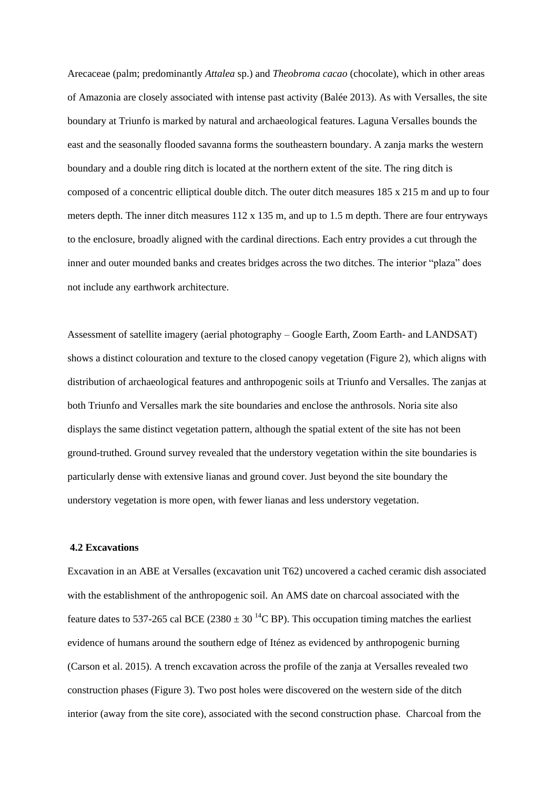Arecaceae (palm; predominantly *Attalea* sp.) and *Theobroma cacao* (chocolate), which in other areas of Amazonia are closely associated with intense past activity (Balée 2013). As with Versalles, the site boundary at Triunfo is marked by natural and archaeological features. Laguna Versalles bounds the east and the seasonally flooded savanna forms the southeastern boundary. A zanja marks the western boundary and a double ring ditch is located at the northern extent of the site. The ring ditch is composed of a concentric elliptical double ditch. The outer ditch measures 185 x 215 m and up to four meters depth. The inner ditch measures 112 x 135 m, and up to 1.5 m depth. There are four entryways to the enclosure, broadly aligned with the cardinal directions. Each entry provides a cut through the inner and outer mounded banks and creates bridges across the two ditches. The interior "plaza" does not include any earthwork architecture.

Assessment of satellite imagery (aerial photography – Google Earth, Zoom Earth- and LANDSAT) shows a distinct colouration and texture to the closed canopy vegetation (Figure 2), which aligns with distribution of archaeological features and anthropogenic soils at Triunfo and Versalles. The zanjas at both Triunfo and Versalles mark the site boundaries and enclose the anthrosols. Noria site also displays the same distinct vegetation pattern, although the spatial extent of the site has not been ground-truthed. Ground survey revealed that the understory vegetation within the site boundaries is particularly dense with extensive lianas and ground cover. Just beyond the site boundary the understory vegetation is more open, with fewer lianas and less understory vegetation.

# **4.2 Excavations**

Excavation in an ABE at Versalles (excavation unit T62) uncovered a cached ceramic dish associated with the establishment of the anthropogenic soil. An AMS date on charcoal associated with the feature dates to 537-265 cal BCE (2380  $\pm$  30<sup>-14</sup>C BP). This occupation timing matches the earliest evidence of humans around the southern edge of Iténez as evidenced by anthropogenic burning (Carson et al. 2015). A trench excavation across the profile of the zanja at Versalles revealed two construction phases (Figure 3). Two post holes were discovered on the western side of the ditch interior (away from the site core), associated with the second construction phase. Charcoal from the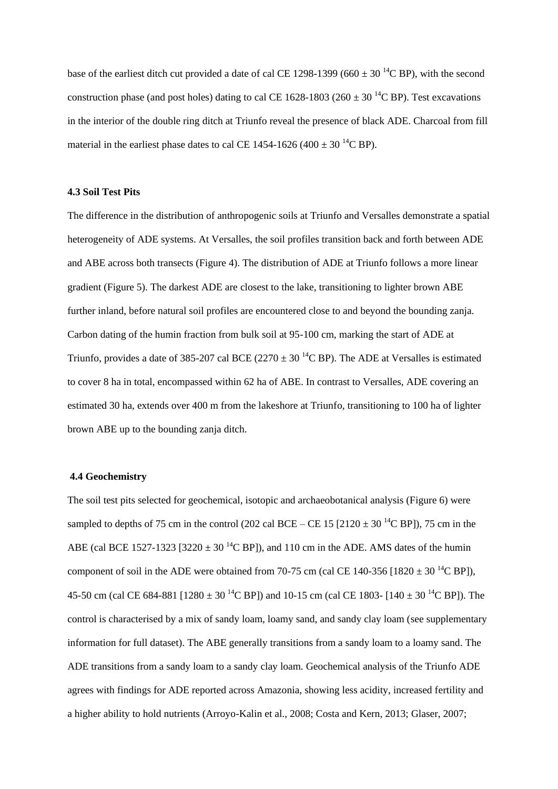base of the earliest ditch cut provided a date of cal CE 1298-1399 (660  $\pm$  30<sup>14</sup>C BP), with the second construction phase (and post holes) dating to cal CE 1628-1803 (260  $\pm$  30<sup>-14</sup>C BP). Test excavations in the interior of the double ring ditch at Triunfo reveal the presence of black ADE. Charcoal from fill material in the earliest phase dates to cal CE 1454-1626 (400  $\pm$  30<sup>-14</sup>C BP).

## **4.3 Soil Test Pits**

The difference in the distribution of anthropogenic soils at Triunfo and Versalles demonstrate a spatial heterogeneity of ADE systems. At Versalles, the soil profiles transition back and forth between ADE and ABE across both transects (Figure 4). The distribution of ADE at Triunfo follows a more linear gradient (Figure 5). The darkest ADE are closest to the lake, transitioning to lighter brown ABE further inland, before natural soil profiles are encountered close to and beyond the bounding zanja. Carbon dating of the humin fraction from bulk soil at 95-100 cm, marking the start of ADE at Triunfo, provides a date of 385-207 cal BCE (2270  $\pm$  30<sup>14</sup>C BP). The ADE at Versalles is estimated to cover 8 ha in total, encompassed within 62 ha of ABE. In contrast to Versalles, ADE covering an estimated 30 ha, extends over 400 m from the lakeshore at Triunfo, transitioning to 100 ha of lighter brown ABE up to the bounding zanja ditch.

## **4.4 Geochemistry**

The soil test pits selected for geochemical, isotopic and archaeobotanical analysis (Figure 6) were sampled to depths of 75 cm in the control (202 cal BCE – CE 15 [2120  $\pm$  30<sup>14</sup>C BP]), 75 cm in the ABE (cal BCE 1527-1323 [3220  $\pm$  30<sup>-14</sup>C BP]), and 110 cm in the ADE. AMS dates of the humin component of soil in the ADE were obtained from 70-75 cm (cal CE 140-356 [1820  $\pm$  30<sup>-14</sup>C BP]), 45-50 cm (cal CE 684-881 [1280  $\pm$  30<sup>-14</sup>C BP]) and 10-15 cm (cal CE 1803- [140  $\pm$  30<sup>-14</sup>C BP]). The control is characterised by a mix of sandy loam, loamy sand, and sandy clay loam (see supplementary information for full dataset). The ABE generally transitions from a sandy loam to a loamy sand. The ADE transitions from a sandy loam to a sandy clay loam. Geochemical analysis of the Triunfo ADE agrees with findings for ADE reported across Amazonia, showing less acidity, increased fertility and a higher ability to hold nutrients (Arroyo-Kalin et al., 2008; Costa and Kern, 2013; Glaser, 2007;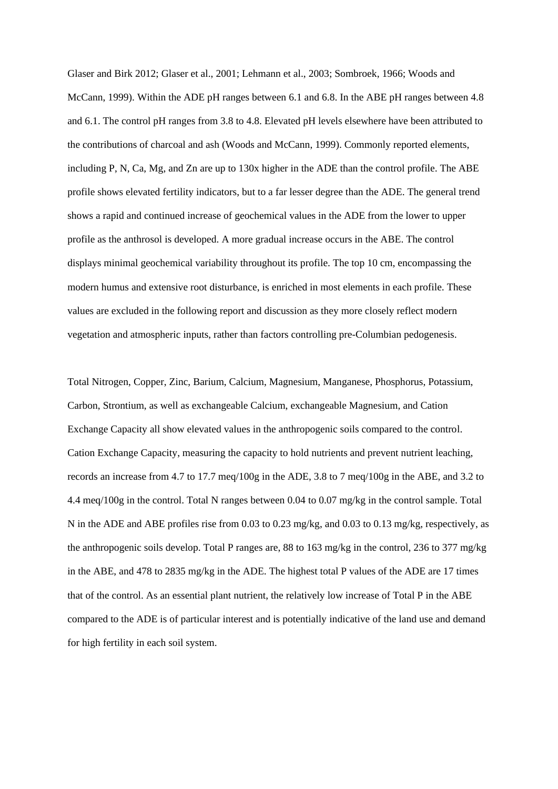Glaser and Birk 2012; Glaser et al., 2001; Lehmann et al., 2003; Sombroek, 1966; Woods and McCann, 1999). Within the ADE pH ranges between 6.1 and 6.8. In the ABE pH ranges between 4.8 and 6.1. The control pH ranges from 3.8 to 4.8. Elevated pH levels elsewhere have been attributed to the contributions of charcoal and ash (Woods and McCann, 1999). Commonly reported elements, including P, N, Ca, Mg, and Zn are up to 130x higher in the ADE than the control profile. The ABE profile shows elevated fertility indicators, but to a far lesser degree than the ADE. The general trend shows a rapid and continued increase of geochemical values in the ADE from the lower to upper profile as the anthrosol is developed. A more gradual increase occurs in the ABE. The control displays minimal geochemical variability throughout its profile. The top 10 cm, encompassing the modern humus and extensive root disturbance, is enriched in most elements in each profile. These values are excluded in the following report and discussion as they more closely reflect modern vegetation and atmospheric inputs, rather than factors controlling pre-Columbian pedogenesis.

Total Nitrogen, Copper, Zinc, Barium, Calcium, Magnesium, Manganese, Phosphorus, Potassium, Carbon, Strontium, as well as exchangeable Calcium, exchangeable Magnesium, and Cation Exchange Capacity all show elevated values in the anthropogenic soils compared to the control. Cation Exchange Capacity, measuring the capacity to hold nutrients and prevent nutrient leaching, records an increase from 4.7 to 17.7 meq/100g in the ADE, 3.8 to 7 meq/100g in the ABE, and 3.2 to 4.4 meq/100g in the control. Total N ranges between 0.04 to 0.07 mg/kg in the control sample. Total N in the ADE and ABE profiles rise from 0.03 to 0.23 mg/kg, and 0.03 to 0.13 mg/kg, respectively, as the anthropogenic soils develop. Total P ranges are, 88 to 163 mg/kg in the control, 236 to 377 mg/kg in the ABE, and 478 to 2835 mg/kg in the ADE. The highest total P values of the ADE are 17 times that of the control. As an essential plant nutrient, the relatively low increase of Total P in the ABE compared to the ADE is of particular interest and is potentially indicative of the land use and demand for high fertility in each soil system.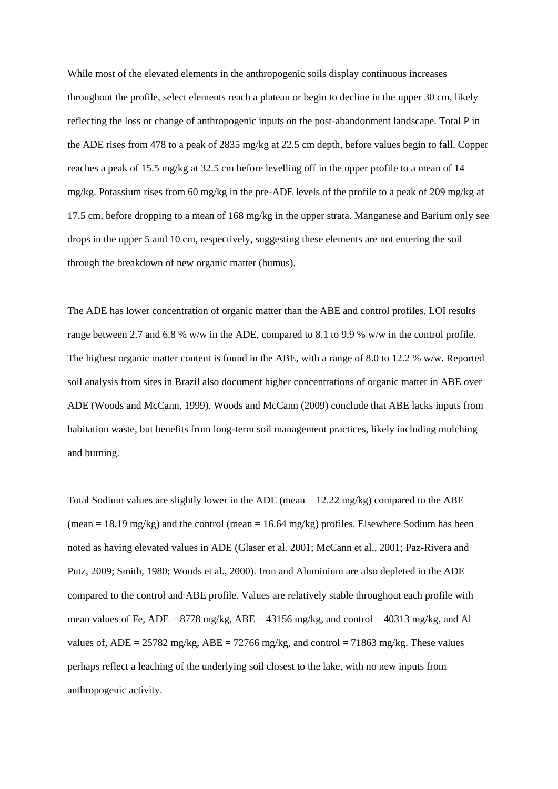While most of the elevated elements in the anthropogenic soils display continuous increases throughout the profile, select elements reach a plateau or begin to decline in the upper 30 cm, likely reflecting the loss or change of anthropogenic inputs on the post-abandonment landscape. Total P in the ADE rises from 478 to a peak of 2835 mg/kg at 22.5 cm depth, before values begin to fall. Copper reaches a peak of 15.5 mg/kg at 32.5 cm before levelling off in the upper profile to a mean of 14 mg/kg. Potassium rises from 60 mg/kg in the pre-ADE levels of the profile to a peak of 209 mg/kg at 17.5 cm, before dropping to a mean of 168 mg/kg in the upper strata. Manganese and Barium only see drops in the upper 5 and 10 cm, respectively, suggesting these elements are not entering the soil through the breakdown of new organic matter (humus).

The ADE has lower concentration of organic matter than the ABE and control profiles. LOI results range between 2.7 and 6.8 % w/w in the ADE, compared to 8.1 to 9.9 % w/w in the control profile. The highest organic matter content is found in the ABE, with a range of 8.0 to 12.2 % w/w. Reported soil analysis from sites in Brazil also document higher concentrations of organic matter in ABE over ADE (Woods and McCann, 1999). Woods and McCann (2009) conclude that ABE lacks inputs from habitation waste, but benefits from long-term soil management practices, likely including mulching and burning.

Total Sodium values are slightly lower in the ADE (mean  $= 12.22$  mg/kg) compared to the ABE (mean = 18.19 mg/kg) and the control (mean =  $16.64$  mg/kg) profiles. Elsewhere Sodium has been noted as having elevated values in ADE (Glaser et al. 2001; McCann et al., 2001; Paz-Rivera and Putz, 2009; Smith, 1980; Woods et al., 2000). Iron and Aluminium are also depleted in the ADE compared to the control and ABE profile. Values are relatively stable throughout each profile with mean values of Fe,  $ADE = 8778$  mg/kg,  $ABE = 43156$  mg/kg, and control = 40313 mg/kg, and Al values of,  $ADE = 25782$  mg/kg,  $ABE = 72766$  mg/kg, and control = 71863 mg/kg. These values perhaps reflect a leaching of the underlying soil closest to the lake, with no new inputs from anthropogenic activity.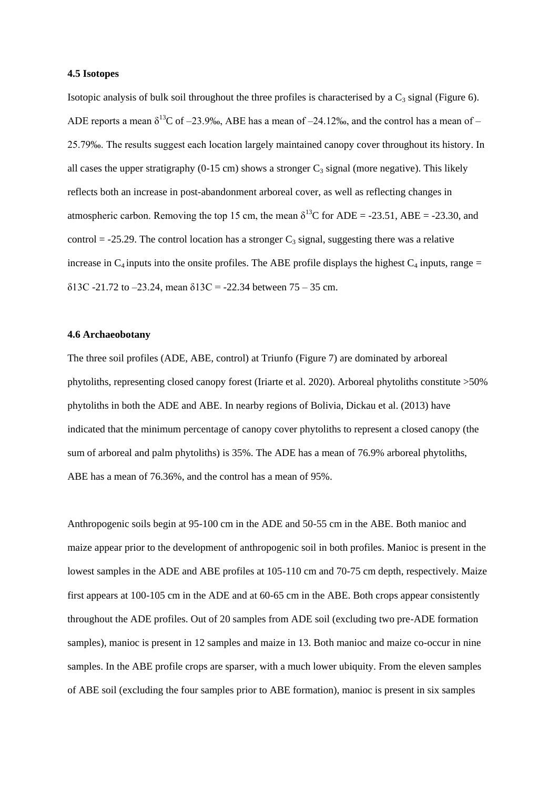#### **4.5 Isotopes**

Isotopic analysis of bulk soil throughout the three profiles is characterised by a  $C_3$  signal (Figure 6). ADE reports a mean  $\delta^{13}$ C of –23.9‰, ABE has a mean of –24.12‰, and the control has a mean of – 25.79‰. The results suggest each location largely maintained canopy cover throughout its history. In all cases the upper stratigraphy (0-15 cm) shows a stronger  $C_3$  signal (more negative). This likely reflects both an increase in post-abandonment arboreal cover, as well as reflecting changes in atmospheric carbon. Removing the top 15 cm, the mean  $\delta^{13}$ C for ADE = -23.51, ABE = -23.30, and control = -25.29. The control location has a stronger  $C_3$  signal, suggesting there was a relative increase in  $C_4$  inputs into the onsite profiles. The ABE profile displays the highest  $C_4$  inputs, range =  $\delta$ 13C -21.72 to -23.24, mean  $\delta$ 13C = -22.34 between 75 - 35 cm.

# **4.6 Archaeobotany**

The three soil profiles (ADE, ABE, control) at Triunfo (Figure 7) are dominated by arboreal phytoliths, representing closed canopy forest (Iriarte et al. 2020). Arboreal phytoliths constitute >50% phytoliths in both the ADE and ABE. In nearby regions of Bolivia, Dickau et al. (2013) have indicated that the minimum percentage of canopy cover phytoliths to represent a closed canopy (the sum of arboreal and palm phytoliths) is 35%. The ADE has a mean of 76.9% arboreal phytoliths, ABE has a mean of 76.36%, and the control has a mean of 95%.

Anthropogenic soils begin at 95-100 cm in the ADE and 50-55 cm in the ABE. Both manioc and maize appear prior to the development of anthropogenic soil in both profiles. Manioc is present in the lowest samples in the ADE and ABE profiles at 105-110 cm and 70-75 cm depth, respectively. Maize first appears at 100-105 cm in the ADE and at 60-65 cm in the ABE. Both crops appear consistently throughout the ADE profiles. Out of 20 samples from ADE soil (excluding two pre-ADE formation samples), manioc is present in 12 samples and maize in 13. Both manioc and maize co-occur in nine samples. In the ABE profile crops are sparser, with a much lower ubiquity. From the eleven samples of ABE soil (excluding the four samples prior to ABE formation), manioc is present in six samples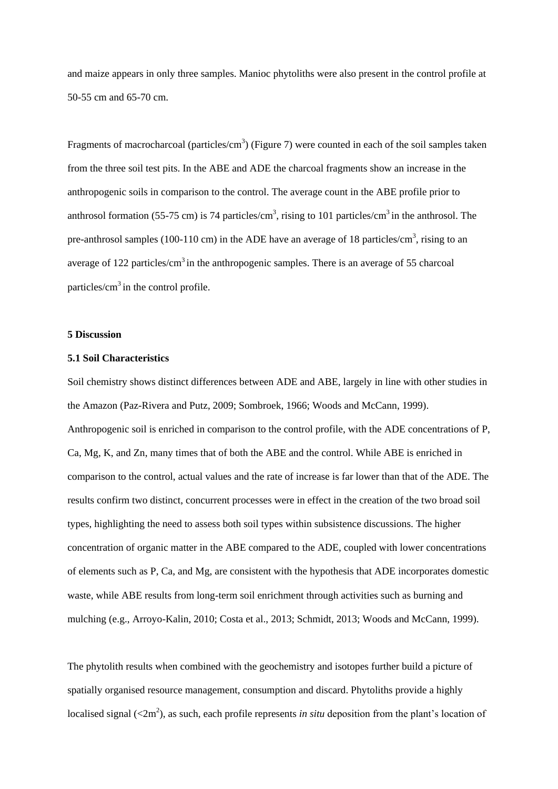and maize appears in only three samples. Manioc phytoliths were also present in the control profile at 50-55 cm and 65-70 cm.

Fragments of macrocharcoal (particles/cm<sup>3</sup>) (Figure 7) were counted in each of the soil samples taken from the three soil test pits. In the ABE and ADE the charcoal fragments show an increase in the anthropogenic soils in comparison to the control. The average count in the ABE profile prior to anthrosol formation (55-75 cm) is 74 particles/cm<sup>3</sup>, rising to 101 particles/cm<sup>3</sup> in the anthrosol. The pre-anthrosol samples (100-110 cm) in the ADE have an average of 18 particles/cm<sup>3</sup>, rising to an average of 122 particles/ $\text{cm}^3$  in the anthropogenic samples. There is an average of 55 charcoal particles/ $\text{cm}^3$  in the control profile.

# **5 Discussion**

## **5.1 Soil Characteristics**

Soil chemistry shows distinct differences between ADE and ABE, largely in line with other studies in the Amazon (Paz-Rivera and Putz, 2009; Sombroek, 1966; Woods and McCann, 1999). Anthropogenic soil is enriched in comparison to the control profile, with the ADE concentrations of P, Ca, Mg, K, and Zn, many times that of both the ABE and the control. While ABE is enriched in comparison to the control, actual values and the rate of increase is far lower than that of the ADE. The results confirm two distinct, concurrent processes were in effect in the creation of the two broad soil types, highlighting the need to assess both soil types within subsistence discussions. The higher concentration of organic matter in the ABE compared to the ADE, coupled with lower concentrations of elements such as P, Ca, and Mg, are consistent with the hypothesis that ADE incorporates domestic waste, while ABE results from long-term soil enrichment through activities such as burning and mulching (e.g., Arroyo-Kalin, 2010; Costa et al., 2013; Schmidt, 2013; Woods and McCann, 1999).

The phytolith results when combined with the geochemistry and isotopes further build a picture of spatially organised resource management, consumption and discard. Phytoliths provide a highly localised signal  $\left($ <2m<sup>2</sup> $\right)$ , as such, each profile represents *in situ* deposition from the plant's location of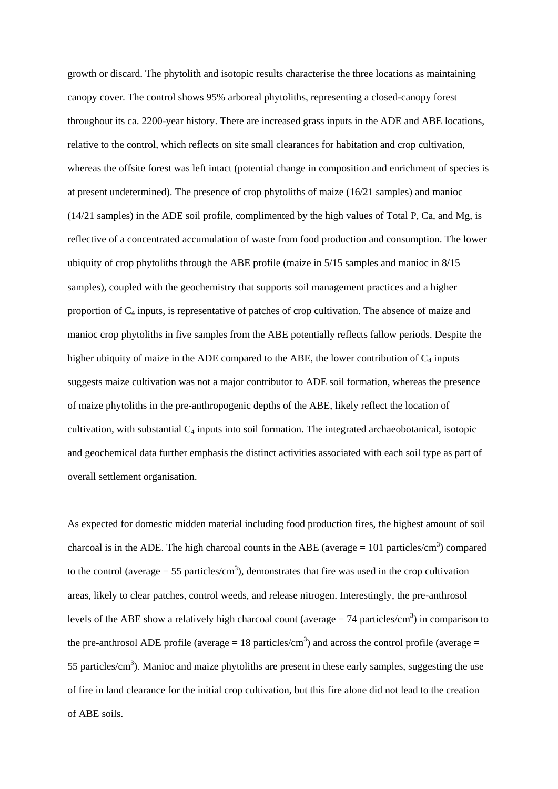growth or discard. The phytolith and isotopic results characterise the three locations as maintaining canopy cover. The control shows 95% arboreal phytoliths, representing a closed-canopy forest throughout its ca. 2200-year history. There are increased grass inputs in the ADE and ABE locations, relative to the control, which reflects on site small clearances for habitation and crop cultivation, whereas the offsite forest was left intact (potential change in composition and enrichment of species is at present undetermined). The presence of crop phytoliths of maize (16/21 samples) and manioc (14/21 samples) in the ADE soil profile, complimented by the high values of Total P, Ca, and Mg, is reflective of a concentrated accumulation of waste from food production and consumption. The lower ubiquity of crop phytoliths through the ABE profile (maize in 5/15 samples and manioc in 8/15 samples), coupled with the geochemistry that supports soil management practices and a higher proportion of  $C_4$  inputs, is representative of patches of crop cultivation. The absence of maize and manioc crop phytoliths in five samples from the ABE potentially reflects fallow periods. Despite the higher ubiquity of maize in the ADE compared to the ABE, the lower contribution of  $C_4$  inputs suggests maize cultivation was not a major contributor to ADE soil formation, whereas the presence of maize phytoliths in the pre-anthropogenic depths of the ABE, likely reflect the location of cultivation, with substantial  $C_4$  inputs into soil formation. The integrated archaeobotanical, isotopic and geochemical data further emphasis the distinct activities associated with each soil type as part of overall settlement organisation.

As expected for domestic midden material including food production fires, the highest amount of soil charcoal is in the ADE. The high charcoal counts in the ABE (average  $= 101$  particles/cm<sup>3</sup>) compared to the control (average  $= 55$  particles/cm<sup>3</sup>), demonstrates that fire was used in the crop cultivation areas, likely to clear patches, control weeds, and release nitrogen. Interestingly, the pre-anthrosol levels of the ABE show a relatively high charcoal count (average  $= 74$  particles/cm<sup>3</sup>) in comparison to the pre-anthrosol ADE profile (average  $= 18$  particles/cm<sup>3</sup>) and across the control profile (average  $=$ 55 particles/ $\text{cm}^3$ ). Manioc and maize phytoliths are present in these early samples, suggesting the use of fire in land clearance for the initial crop cultivation, but this fire alone did not lead to the creation of ABE soils.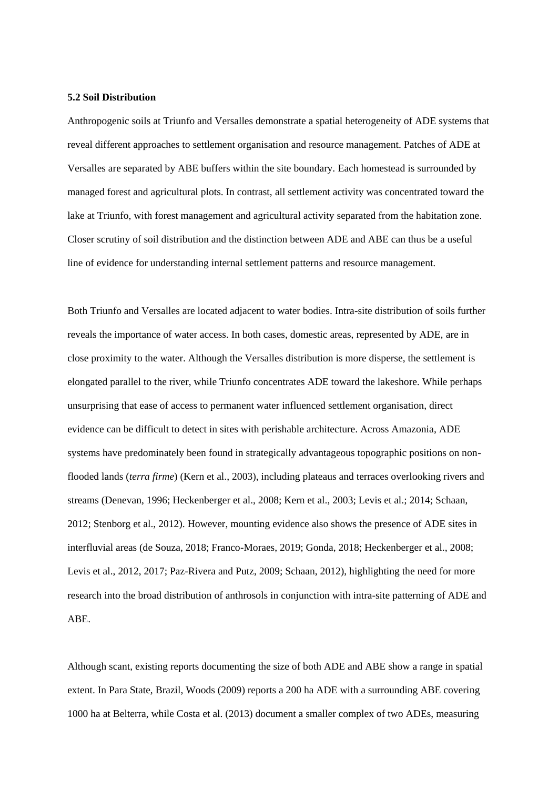### **5.2 Soil Distribution**

Anthropogenic soils at Triunfo and Versalles demonstrate a spatial heterogeneity of ADE systems that reveal different approaches to settlement organisation and resource management. Patches of ADE at Versalles are separated by ABE buffers within the site boundary. Each homestead is surrounded by managed forest and agricultural plots. In contrast, all settlement activity was concentrated toward the lake at Triunfo, with forest management and agricultural activity separated from the habitation zone. Closer scrutiny of soil distribution and the distinction between ADE and ABE can thus be a useful line of evidence for understanding internal settlement patterns and resource management.

Both Triunfo and Versalles are located adjacent to water bodies. Intra-site distribution of soils further reveals the importance of water access. In both cases, domestic areas, represented by ADE, are in close proximity to the water. Although the Versalles distribution is more disperse, the settlement is elongated parallel to the river, while Triunfo concentrates ADE toward the lakeshore. While perhaps unsurprising that ease of access to permanent water influenced settlement organisation, direct evidence can be difficult to detect in sites with perishable architecture. Across Amazonia, ADE systems have predominately been found in strategically advantageous topographic positions on nonflooded lands (*terra firme*) (Kern et al., 2003), including plateaus and terraces overlooking rivers and streams (Denevan, 1996; Heckenberger et al., 2008; Kern et al., 2003; Levis et al.; 2014; Schaan, 2012; Stenborg et al., 2012). However, mounting evidence also shows the presence of ADE sites in interfluvial areas (de Souza, 2018; Franco-Moraes, 2019; Gonda, 2018; Heckenberger et al., 2008; Levis et al., 2012, 2017; Paz-Rivera and Putz, 2009; Schaan, 2012), highlighting the need for more research into the broad distribution of anthrosols in conjunction with intra-site patterning of ADE and ABE.

Although scant, existing reports documenting the size of both ADE and ABE show a range in spatial extent. In Para State, Brazil, Woods (2009) reports a 200 ha ADE with a surrounding ABE covering 1000 ha at Belterra, while Costa et al. (2013) document a smaller complex of two ADEs, measuring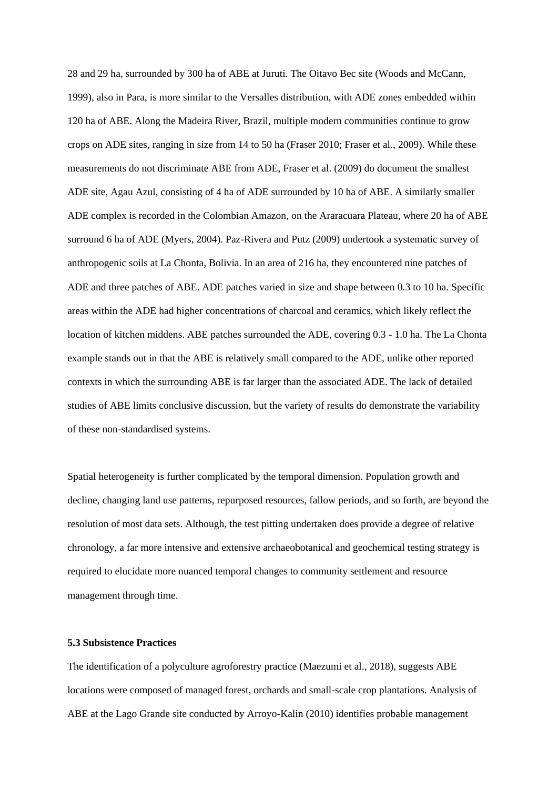28 and 29 ha, surrounded by 300 ha of ABE at Juruti. The Oitavo Bec site (Woods and McCann, 1999), also in Para, is more similar to the Versalles distribution, with ADE zones embedded within 120 ha of ABE. Along the Madeira River, Brazil, multiple modern communities continue to grow crops on ADE sites, ranging in size from 14 to 50 ha (Fraser 2010; Fraser et al., 2009). While these measurements do not discriminate ABE from ADE, Fraser et al. (2009) do document the smallest ADE site, Agau Azul, consisting of 4 ha of ADE surrounded by 10 ha of ABE. A similarly smaller ADE complex is recorded in the Colombian Amazon, on the Araracuara Plateau, where 20 ha of ABE surround 6 ha of ADE (Myers, 2004). Paz-Rivera and Putz (2009) undertook a systematic survey of anthropogenic soils at La Chonta, Bolivia. In an area of 216 ha, they encountered nine patches of ADE and three patches of ABE. ADE patches varied in size and shape between 0.3 to 10 ha. Specific areas within the ADE had higher concentrations of charcoal and ceramics, which likely reflect the location of kitchen middens. ABE patches surrounded the ADE, covering 0.3 - 1.0 ha. The La Chonta example stands out in that the ABE is relatively small compared to the ADE, unlike other reported contexts in which the surrounding ABE is far larger than the associated ADE. The lack of detailed studies of ABE limits conclusive discussion, but the variety of results do demonstrate the variability of these non-standardised systems.

Spatial heterogeneity is further complicated by the temporal dimension. Population growth and decline, changing land use patterns, repurposed resources, fallow periods, and so forth, are beyond the resolution of most data sets. Although, the test pitting undertaken does provide a degree of relative chronology, a far more intensive and extensive archaeobotanical and geochemical testing strategy is required to elucidate more nuanced temporal changes to community settlement and resource management through time.

## **5.3 Subsistence Practices**

The identification of a polyculture agroforestry practice (Maezumi et al., 2018), suggests ABE locations were composed of managed forest, orchards and small-scale crop plantations. Analysis of ABE at the Lago Grande site conducted by Arroyo-Kalin (2010) identifies probable management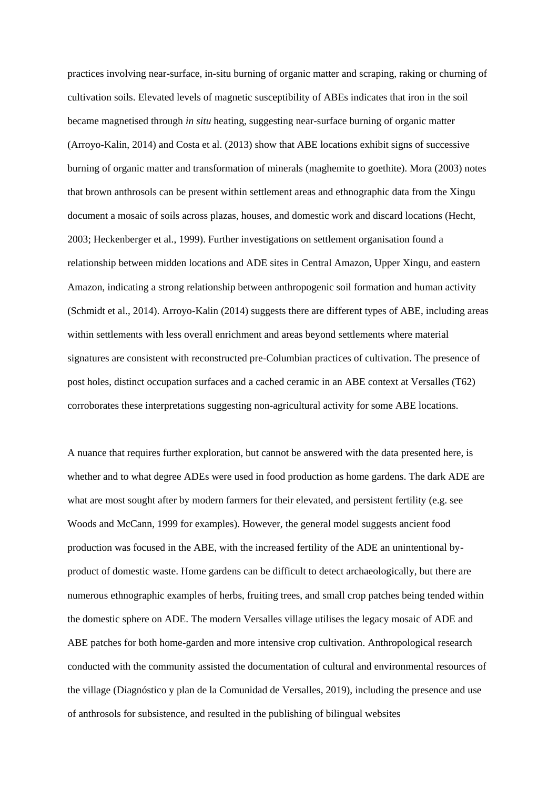practices involving near-surface, in-situ burning of organic matter and scraping, raking or churning of cultivation soils. Elevated levels of magnetic susceptibility of ABEs indicates that iron in the soil became magnetised through *in situ* heating, suggesting near-surface burning of organic matter (Arroyo-Kalin, 2014) and Costa et al. (2013) show that ABE locations exhibit signs of successive burning of organic matter and transformation of minerals (maghemite to goethite). Mora (2003) notes that brown anthrosols can be present within settlement areas and ethnographic data from the Xingu document a mosaic of soils across plazas, houses, and domestic work and discard locations (Hecht, 2003; Heckenberger et al., 1999). Further investigations on settlement organisation found a relationship between midden locations and ADE sites in Central Amazon, Upper Xingu, and eastern Amazon, indicating a strong relationship between anthropogenic soil formation and human activity (Schmidt et al., 2014). Arroyo-Kalin (2014) suggests there are different types of ABE, including areas within settlements with less overall enrichment and areas beyond settlements where material signatures are consistent with reconstructed pre-Columbian practices of cultivation. The presence of post holes, distinct occupation surfaces and a cached ceramic in an ABE context at Versalles (T62) corroborates these interpretations suggesting non-agricultural activity for some ABE locations.

A nuance that requires further exploration, but cannot be answered with the data presented here, is whether and to what degree ADEs were used in food production as home gardens. The dark ADE are what are most sought after by modern farmers for their elevated, and persistent fertility (e.g. see Woods and McCann, 1999 for examples). However, the general model suggests ancient food production was focused in the ABE, with the increased fertility of the ADE an unintentional byproduct of domestic waste. Home gardens can be difficult to detect archaeologically, but there are numerous ethnographic examples of herbs, fruiting trees, and small crop patches being tended within the domestic sphere on ADE. The modern Versalles village utilises the legacy mosaic of ADE and ABE patches for both home-garden and more intensive crop cultivation. Anthropological research conducted with the community assisted the documentation of cultural and environmental resources of the village (Diagnóstico y plan de la Comunidad de Versalles, 2019), including the presence and use of anthrosols for subsistence, and resulted in the publishing of bilingual websites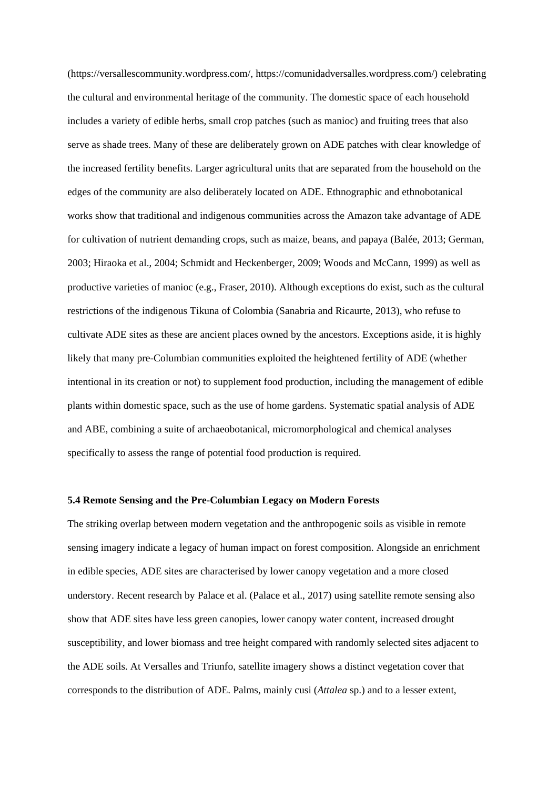(https://versallescommunity.wordpress.com/, https://comunidadversalles.wordpress.com/) celebrating the cultural and environmental heritage of the community. The domestic space of each household includes a variety of edible herbs, small crop patches (such as manioc) and fruiting trees that also serve as shade trees. Many of these are deliberately grown on ADE patches with clear knowledge of the increased fertility benefits. Larger agricultural units that are separated from the household on the edges of the community are also deliberately located on ADE. Ethnographic and ethnobotanical works show that traditional and indigenous communities across the Amazon take advantage of ADE for cultivation of nutrient demanding crops, such as maize, beans, and papaya (Balée, 2013; German, 2003; Hiraoka et al., 2004; Schmidt and Heckenberger, 2009; Woods and McCann, 1999) as well as productive varieties of manioc (e.g., Fraser, 2010). Although exceptions do exist, such as the cultural restrictions of the indigenous Tikuna of Colombia (Sanabria and Ricaurte, 2013), who refuse to cultivate ADE sites as these are ancient places owned by the ancestors. Exceptions aside, it is highly likely that many pre-Columbian communities exploited the heightened fertility of ADE (whether intentional in its creation or not) to supplement food production, including the management of edible plants within domestic space, such as the use of home gardens. Systematic spatial analysis of ADE and ABE, combining a suite of archaeobotanical, micromorphological and chemical analyses specifically to assess the range of potential food production is required.

#### **5.4 Remote Sensing and the Pre-Columbian Legacy on Modern Forests**

The striking overlap between modern vegetation and the anthropogenic soils as visible in remote sensing imagery indicate a legacy of human impact on forest composition. Alongside an enrichment in edible species, ADE sites are characterised by lower canopy vegetation and a more closed understory. Recent research by Palace et al. (Palace et al., 2017) using satellite remote sensing also show that ADE sites have less green canopies, lower canopy water content, increased drought susceptibility, and lower biomass and tree height compared with randomly selected sites adjacent to the ADE soils. At Versalles and Triunfo, satellite imagery shows a distinct vegetation cover that corresponds to the distribution of ADE. Palms, mainly cusi (*Attalea* sp.) and to a lesser extent,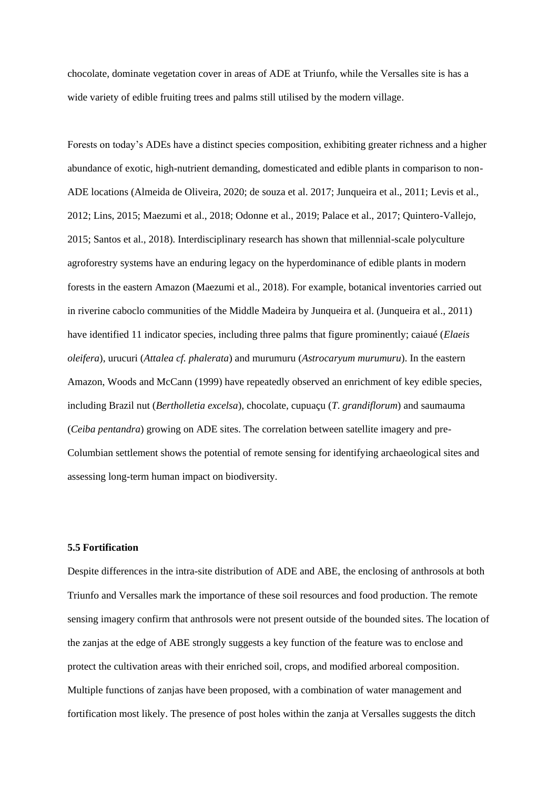chocolate, dominate vegetation cover in areas of ADE at Triunfo, while the Versalles site is has a wide variety of edible fruiting trees and palms still utilised by the modern village.

Forests on today's ADEs have a distinct species composition, exhibiting greater richness and a higher abundance of exotic, high-nutrient demanding, domesticated and edible plants in comparison to non-ADE locations (Almeida de Oliveira, 2020; de souza et al. 2017; Junqueira et al., 2011; Levis et al., 2012; Lins, 2015; Maezumi et al., 2018; Odonne et al., 2019; Palace et al., 2017; Quintero-Vallejo, 2015; Santos et al., 2018). Interdisciplinary research has shown that millennial-scale polyculture agroforestry systems have an enduring legacy on the hyperdominance of edible plants in modern forests in the eastern Amazon (Maezumi et al., 2018). For example, botanical inventories carried out in riverine caboclo communities of the Middle Madeira by Junqueira et al. (Junqueira et al., 2011) have identified 11 indicator species, including three palms that figure prominently; caiaué (*Elaeis oleifera*), urucuri (*Attalea cf. phalerata*) and murumuru (*Astrocaryum murumuru*). In the eastern Amazon, Woods and McCann (1999) have repeatedly observed an enrichment of key edible species, including Brazil nut (*Bertholletia excelsa*), chocolate, cupuaçu (*T*. *grandiflorum*) and saumauma (*Ceiba pentandra*) growing on ADE sites. The correlation between satellite imagery and pre-Columbian settlement shows the potential of remote sensing for identifying archaeological sites and assessing long-term human impact on biodiversity.

# **5.5 Fortification**

Despite differences in the intra-site distribution of ADE and ABE, the enclosing of anthrosols at both Triunfo and Versalles mark the importance of these soil resources and food production. The remote sensing imagery confirm that anthrosols were not present outside of the bounded sites. The location of the zanjas at the edge of ABE strongly suggests a key function of the feature was to enclose and protect the cultivation areas with their enriched soil, crops, and modified arboreal composition. Multiple functions of zanjas have been proposed, with a combination of water management and fortification most likely. The presence of post holes within the zanja at Versalles suggests the ditch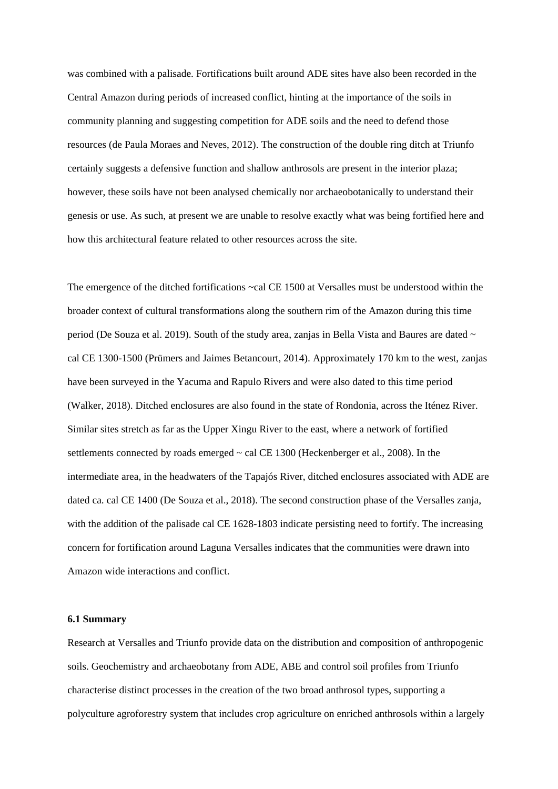was combined with a palisade. Fortifications built around ADE sites have also been recorded in the Central Amazon during periods of increased conflict, hinting at the importance of the soils in community planning and suggesting competition for ADE soils and the need to defend those resources (de Paula Moraes and Neves, 2012). The construction of the double ring ditch at Triunfo certainly suggests a defensive function and shallow anthrosols are present in the interior plaza; however, these soils have not been analysed chemically nor archaeobotanically to understand their genesis or use. As such, at present we are unable to resolve exactly what was being fortified here and how this architectural feature related to other resources across the site.

The emergence of the ditched fortifications ~cal CE 1500 at Versalles must be understood within the broader context of cultural transformations along the southern rim of the Amazon during this time period (De Souza et al. 2019). South of the study area, zanjas in Bella Vista and Baures are dated ~ cal CE 1300-1500 (Prümers and Jaimes Betancourt, 2014). Approximately 170 km to the west, zanjas have been surveyed in the Yacuma and Rapulo Rivers and were also dated to this time period (Walker, 2018). Ditched enclosures are also found in the state of Rondonia, across the Iténez River. Similar sites stretch as far as the Upper Xingu River to the east, where a network of fortified settlements connected by roads emerged ~ cal CE 1300 (Heckenberger et al., 2008). In the intermediate area, in the headwaters of the Tapajós River, ditched enclosures associated with ADE are dated ca. cal CE 1400 (De Souza et al., 2018). The second construction phase of the Versalles zanja, with the addition of the palisade cal CE 1628-1803 indicate persisting need to fortify. The increasing concern for fortification around Laguna Versalles indicates that the communities were drawn into Amazon wide interactions and conflict.

### **6.1 Summary**

Research at Versalles and Triunfo provide data on the distribution and composition of anthropogenic soils. Geochemistry and archaeobotany from ADE, ABE and control soil profiles from Triunfo characterise distinct processes in the creation of the two broad anthrosol types, supporting a polyculture agroforestry system that includes crop agriculture on enriched anthrosols within a largely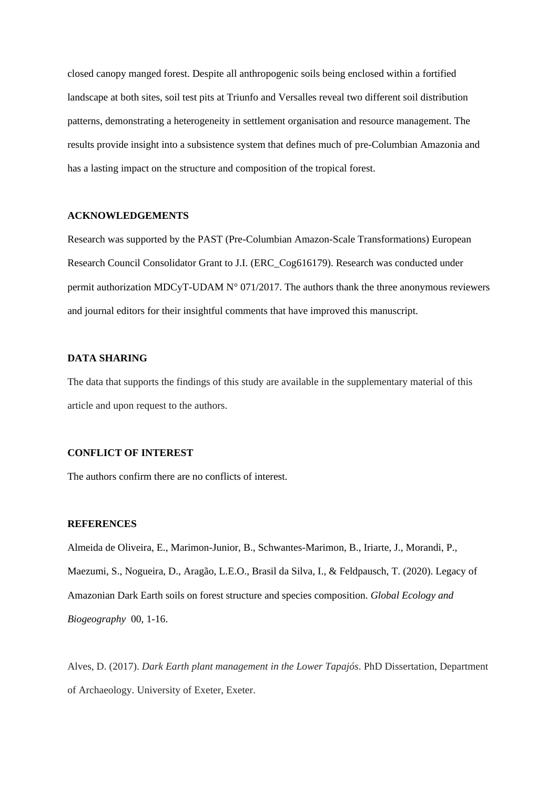closed canopy manged forest. Despite all anthropogenic soils being enclosed within a fortified landscape at both sites, soil test pits at Triunfo and Versalles reveal two different soil distribution patterns, demonstrating a heterogeneity in settlement organisation and resource management. The results provide insight into a subsistence system that defines much of pre-Columbian Amazonia and has a lasting impact on the structure and composition of the tropical forest.

# **ACKNOWLEDGEMENTS**

Research was supported by the PAST (Pre-Columbian Amazon-Scale Transformations) European Research Council Consolidator Grant to J.I. (ERC\_Cog616179). Research was conducted under permit authorization MDCyT-UDAM N° 071/2017. The authors thank the three anonymous reviewers and journal editors for their insightful comments that have improved this manuscript.

## **DATA SHARING**

The data that supports the findings of this study are available in the supplementary material of this article and upon request to the authors.

## **CONFLICT OF INTEREST**

The authors confirm there are no conflicts of interest.

# **REFERENCES**

Almeida de Oliveira, E., Marimon-Junior, B., Schwantes-Marimon, B., Iriarte, J., Morandi, P., Maezumi, S., Nogueira, D., Aragão, L.E.O., Brasil da Silva, I., & Feldpausch, T. (2020). Legacy of Amazonian Dark Earth soils on forest structure and species composition. *Global Ecology and Biogeography* 00, 1-16.

Alves, D. (2017). *Dark Earth plant management in the Lower Tapajós*. PhD Dissertation, Department of Archaeology. University of Exeter, Exeter.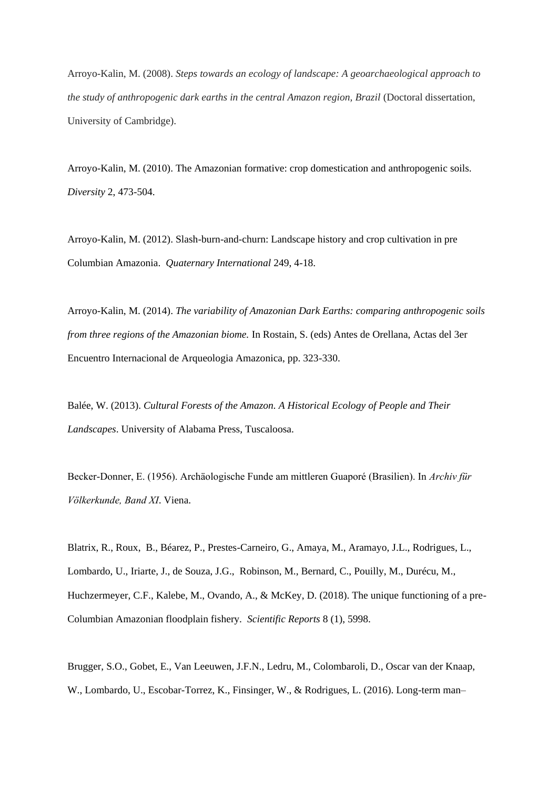Arroyo-Kalin, M. (2008). *Steps towards an ecology of landscape: A geoarchaeological approach to the study of anthropogenic dark earths in the central Amazon region, Brazil* (Doctoral dissertation, University of Cambridge).

Arroyo-Kalin, M. (2010). The Amazonian formative: crop domestication and anthropogenic soils. *Diversity* 2, 473-504.

Arroyo-Kalin, M. (2012). Slash-burn-and-churn: Landscape history and crop cultivation in pre Columbian Amazonia. *Quaternary International* 249, 4-18.

Arroyo-Kalin, M. (2014). *The variability of Amazonian Dark Earths: comparing anthropogenic soils from three regions of the Amazonian biome.* In Rostain, S. (eds) Antes de Orellana, Actas del 3er Encuentro Internacional de Arqueologia Amazonica, pp. 323-330.

Balée, W. (2013). *Cultural Forests of the Amazon. A Historical Ecology of People and Their Landscapes*. University of Alabama Press, Tuscaloosa.

Becker-Donner, E. (1956). Archäologische Funde am mittleren Guaporé (Brasilien). In Archiv für Völkerkunde, Band XI. Viena.

Blatrix, R., Roux, B., Béarez, P., Prestes-Carneiro, G., Amaya, M., Aramayo, J.L., Rodrigues, L., Lombardo, U., Iriarte, J., de Souza, J.G., Robinson, M., Bernard, C., Pouilly, M., Durécu, M., Huchzermeyer, C.F., Kalebe, M., Ovando, A., & McKey, D. (2018). The unique functioning of a pre-Columbian Amazonian floodplain fishery. *Scientific Reports* 8 (1), 5998.

Brugger, S.O., Gobet, E., Van Leeuwen, J.F.N., Ledru, M., Colombaroli, D., Oscar van der Knaap, W., Lombardo, U., Escobar-Torrez, K., Finsinger, W., & Rodrigues, L. (2016). Long-term man–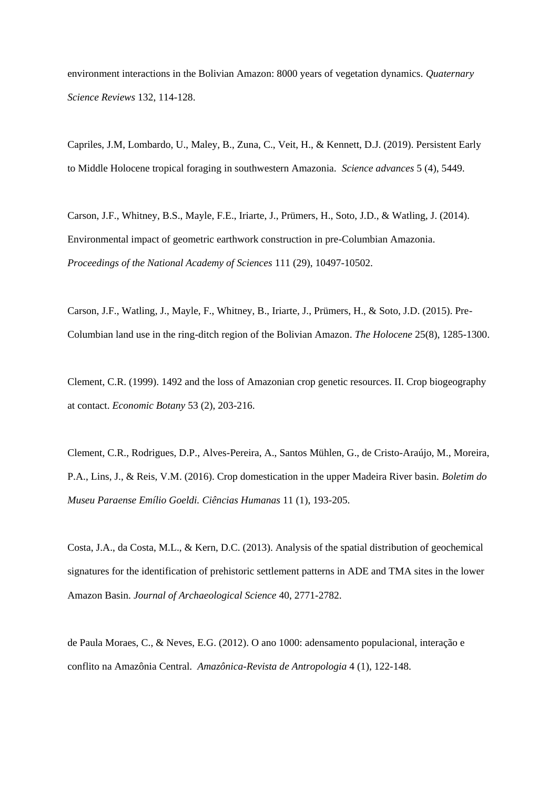environment interactions in the Bolivian Amazon: 8000 years of vegetation dynamics. *Quaternary Science Reviews* 132, 114-128.

Capriles, J.M, Lombardo, U., Maley, B., Zuna, C., Veit, H., & Kennett, D.J. (2019). Persistent Early to Middle Holocene tropical foraging in southwestern Amazonia. *Science advances* 5 (4), 5449.

Carson, J.F., Whitney, B.S., Mayle, F.E., Iriarte, J., Prümers, H., Soto, J.D., & Watling, J. (2014). Environmental impact of geometric earthwork construction in pre-Columbian Amazonia. *Proceedings of the National Academy of Sciences* 111 (29), 10497-10502.

Carson, J.F., Watling, J., Mayle, F., Whitney, B., Iriarte, J., Prümers, H., & Soto, J.D. (2015). Pre-Columbian land use in the ring-ditch region of the Bolivian Amazon. *The Holocene* 25(8), 1285-1300.

Clement, C.R. (1999). 1492 and the loss of Amazonian crop genetic resources. II. Crop biogeography at contact. *Economic Botany* 53 (2), 203-216.

Clement, C.R., Rodrigues, D.P., Alves-Pereira, A., Santos Mühlen, G., de Cristo-Araújo, M., Moreira, P.A., Lins, J., & Reis, V.M. (2016). Crop domestication in the upper Madeira River basin. *Boletim do Museu Paraense Emílio Goeldi. Ciências Humanas* 11 (1), 193-205.

Costa, J.A., da Costa, M.L., & Kern, D.C. (2013). Analysis of the spatial distribution of geochemical signatures for the identification of prehistoric settlement patterns in ADE and TMA sites in the lower Amazon Basin. *Journal of Archaeological Science* 40, 2771-2782.

de Paula Moraes, C., & Neves, E.G. (2012). O ano 1000: adensamento populacional, interação e conflito na Amazônia Central. *Amazônica-Revista de Antropologia* 4 (1), 122-148.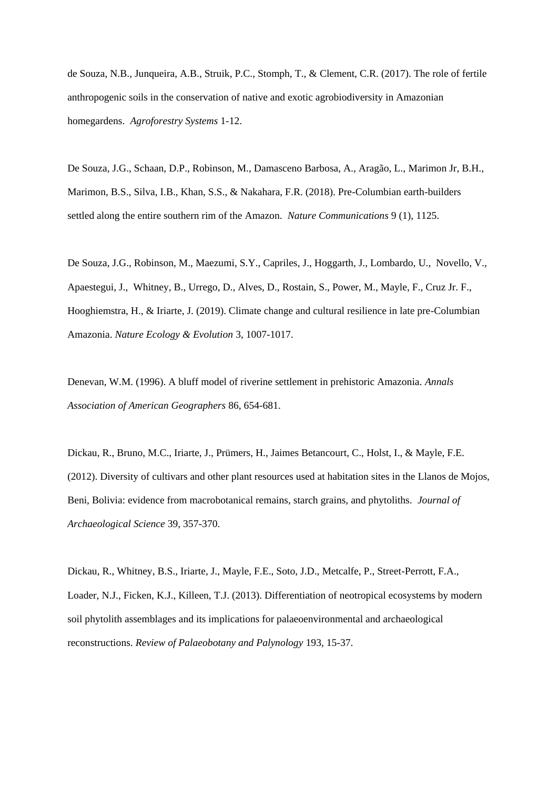de Souza, N.B., Junqueira, A.B., Struik, P.C., Stomph, T., & Clement, C.R. (2017). The role of fertile anthropogenic soils in the conservation of native and exotic agrobiodiversity in Amazonian homegardens. *Agroforestry Systems* 1-12.

De Souza, J.G., Schaan, D.P., Robinson, M., Damasceno Barbosa, A., Aragão, L., Marimon Jr, B.H., Marimon, B.S., Silva, I.B., Khan, S.S., & Nakahara, F.R. (2018). Pre-Columbian earth-builders settled along the entire southern rim of the Amazon. *Nature Communications* 9 (1), 1125.

De Souza, J.G., Robinson, M., Maezumi, S.Y., Capriles, J., Hoggarth, J., Lombardo, U., Novello, V., Apaestegui, J., Whitney, B., Urrego, D., Alves, D., Rostain, S., Power, M., Mayle, F., Cruz Jr. F., Hooghiemstra, H., & Iriarte, J. (2019). Climate change and cultural resilience in late pre-Columbian Amazonia. *Nature Ecology & Evolution* 3, 1007-1017.

Denevan, W.M. (1996). A bluff model of riverine settlement in prehistoric Amazonia. *Annals Association of American Geographers* 86, 654-681.

Dickau, R., Bruno, M.C., Iriarte, J., Prümers, H., Jaimes Betancourt, C., Holst, I., & Mayle, F.E. (2012). Diversity of cultivars and other plant resources used at habitation sites in the Llanos de Mojos, Beni, Bolivia: evidence from macrobotanical remains, starch grains, and phytoliths. *Journal of Archaeological Science* 39, 357-370.

Dickau, R., Whitney, B.S., Iriarte, J., Mayle, F.E., Soto, J.D., Metcalfe, P., Street-Perrott, F.A., Loader, N.J., Ficken, K.J., Killeen, T.J. (2013). Differentiation of neotropical ecosystems by modern soil phytolith assemblages and its implications for palaeoenvironmental and archaeological reconstructions. *Review of Palaeobotany and Palynology* 193, 15-37.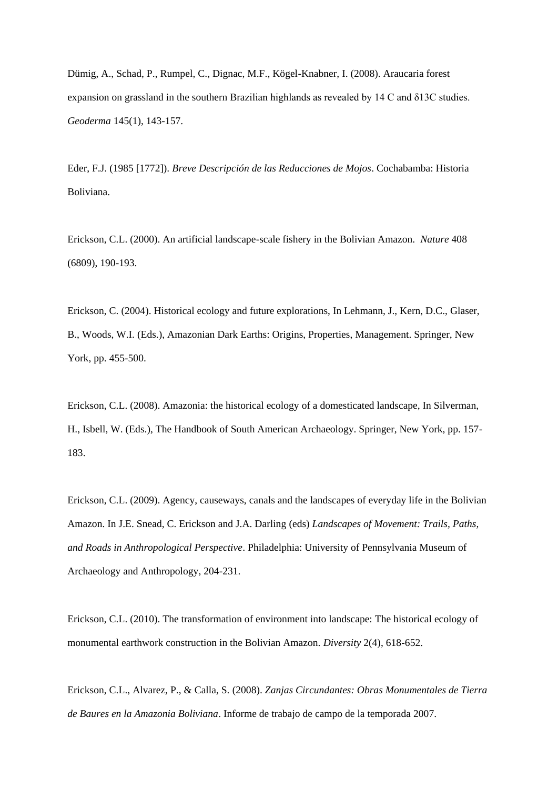Dümig, A., Schad, P., Rumpel, C., Dignac, M.F., Kögel-Knabner, I. (2008). Araucaria forest expansion on grassland in the southern Brazilian highlands as revealed by 14 C and δ13C studies. *Geoderma* 145(1), 143-157.

Eder, F.J. (1985 [1772]). *Breve Descripción de las Reducciones de Mojos*. Cochabamba: Historia Boliviana.

Erickson, C.L. (2000). An artificial landscape-scale fishery in the Bolivian Amazon. *Nature* 408 (6809), 190-193.

Erickson, C. (2004). Historical ecology and future explorations, In Lehmann, J., Kern, D.C., Glaser, B., Woods, W.I. (Eds.), Amazonian Dark Earths: Origins, Properties, Management. Springer, New York, pp. 455-500.

Erickson, C.L. (2008). Amazonia: the historical ecology of a domesticated landscape, In Silverman, H., Isbell, W. (Eds.), The Handbook of South American Archaeology. Springer, New York, pp. 157- 183.

Erickson, C.L. (2009). Agency, causeways, canals and the landscapes of everyday life in the Bolivian Amazon. In J.E. Snead, C. Erickson and J.A. Darling (eds) *Landscapes of Movement: Trails, Paths, and Roads in Anthropological Perspective*. Philadelphia: University of Pennsylvania Museum of Archaeology and Anthropology, 204-231.

Erickson, C.L. (2010). The transformation of environment into landscape: The historical ecology of monumental earthwork construction in the Bolivian Amazon. *Diversity* 2(4), 618-652.

Erickson, C.L., Alvarez, P., & Calla, S. (2008). *Zanjas Circundantes: Obras Monumentales de Tierra de Baures en la Amazonia Boliviana*. Informe de trabajo de campo de la temporada 2007.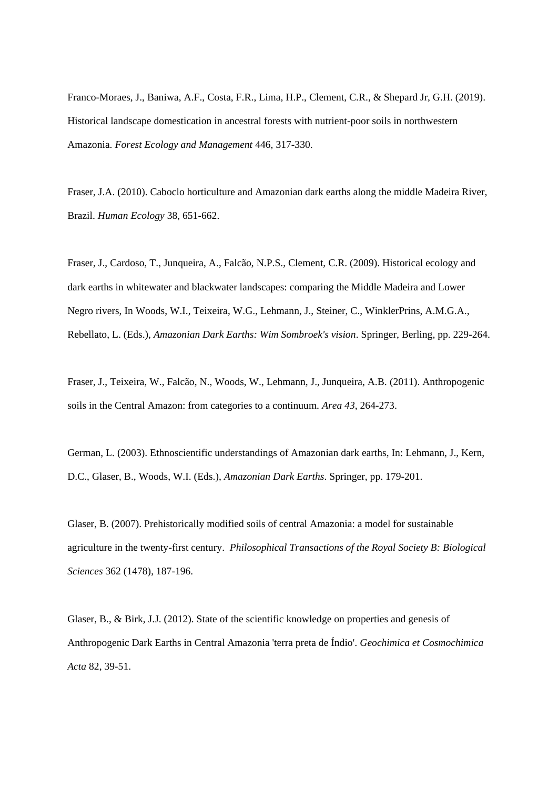Franco-Moraes, J., Baniwa, A.F., Costa, F.R., Lima, H.P., Clement, C.R., & Shepard Jr, G.H. (2019). Historical landscape domestication in ancestral forests with nutrient-poor soils in northwestern Amazonia. *Forest Ecology and Management* 446, 317-330.

Fraser, J.A. (2010). Caboclo horticulture and Amazonian dark earths along the middle Madeira River, Brazil. *Human Ecology* 38, 651-662.

Fraser, J., Cardoso, T., Junqueira, A., Falcão, N.P.S., Clement, C.R. (2009). Historical ecology and dark earths in whitewater and blackwater landscapes: comparing the Middle Madeira and Lower Negro rivers, In Woods, W.I., Teixeira, W.G., Lehmann, J., Steiner, C., WinklerPrins, A.M.G.A., Rebellato, L. (Eds.), *Amazonian Dark Earths: Wim Sombroek's vision*. Springer, Berling, pp. 229-264.

Fraser, J., Teixeira, W., Falcão, N., Woods, W., Lehmann, J., Junqueira, A.B. (2011). Anthropogenic soils in the Central Amazon: from categories to a continuum. *Area 43*, 264-273.

German, L. (2003). Ethnoscientific understandings of Amazonian dark earths, In: Lehmann, J., Kern, D.C., Glaser, B., Woods, W.I. (Eds.), *Amazonian Dark Earths*. Springer, pp. 179-201.

Glaser, B. (2007). Prehistorically modified soils of central Amazonia: a model for sustainable agriculture in the twenty-first century. *Philosophical Transactions of the Royal Society B: Biological Sciences* 362 (1478), 187-196.

Glaser, B., & Birk, J.J. (2012). State of the scientific knowledge on properties and genesis of Anthropogenic Dark Earths in Central Amazonia 'terra preta de Índio'. *Geochimica et Cosmochimica Acta* 82, 39-51.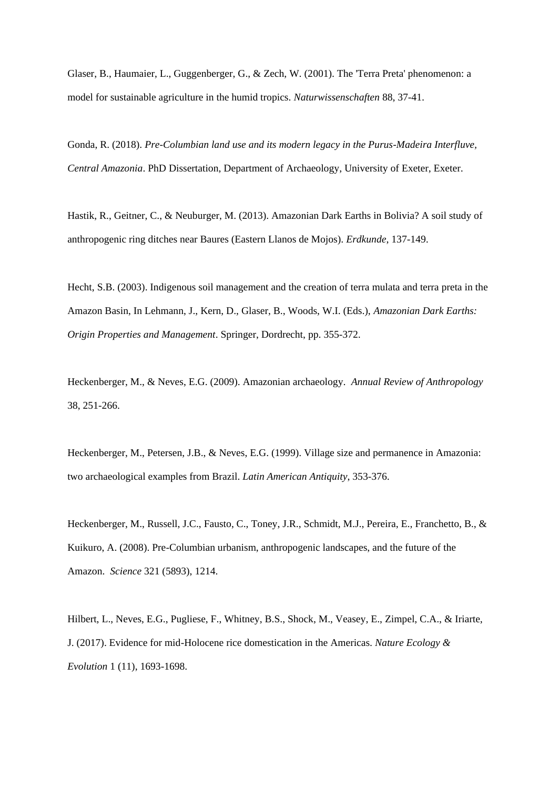Glaser, B., Haumaier, L., Guggenberger, G., & Zech, W. (2001). The 'Terra Preta' phenomenon: a model for sustainable agriculture in the humid tropics. *Naturwissenschaften* 88, 37-41.

Gonda, R. (2018). *Pre-Columbian land use and its modern legacy in the Purus-Madeira Interfluve, Central Amazonia*. PhD Dissertation, Department of Archaeology, University of Exeter, Exeter.

Hastik, R., Geitner, C., & Neuburger, M. (2013). Amazonian Dark Earths in Bolivia? A soil study of anthropogenic ring ditches near Baures (Eastern Llanos de Mojos). *Erdkunde*, 137-149.

Hecht, S.B. (2003). Indigenous soil management and the creation of terra mulata and terra preta in the Amazon Basin, In Lehmann, J., Kern, D., Glaser, B., Woods, W.I. (Eds.), *Amazonian Dark Earths: Origin Properties and Management*. Springer, Dordrecht, pp. 355-372.

Heckenberger, M., & Neves, E.G. (2009). Amazonian archaeology. *Annual Review of Anthropology* 38, 251-266.

Heckenberger, M., Petersen, J.B., & Neves, E.G. (1999). Village size and permanence in Amazonia: two archaeological examples from Brazil. *Latin American Antiquity*, 353-376.

Heckenberger, M., Russell, J.C., Fausto, C., Toney, J.R., Schmidt, M.J., Pereira, E., Franchetto, B., & Kuikuro, A. (2008). Pre-Columbian urbanism, anthropogenic landscapes, and the future of the Amazon. *Science* 321 (5893), 1214.

Hilbert, L., Neves, E.G., Pugliese, F., Whitney, B.S., Shock, M., Veasey, E., Zimpel, C.A., & Iriarte, J. (2017). Evidence for mid-Holocene rice domestication in the Americas. *Nature Ecology & Evolution* 1 (11), 1693-1698.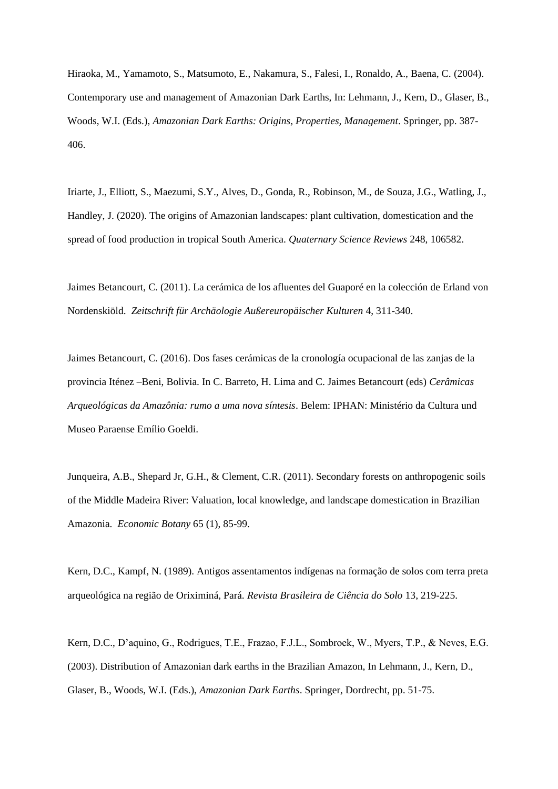Hiraoka, M., Yamamoto, S., Matsumoto, E., Nakamura, S., Falesi, I., Ronaldo, A., Baena, C. (2004). Contemporary use and management of Amazonian Dark Earths, In: Lehmann, J., Kern, D., Glaser, B., Woods, W.I. (Eds.), *Amazonian Dark Earths: Origins, Properties, Management*. Springer, pp. 387- 406.

Iriarte, J., Elliott, S., Maezumi, S.Y., Alves, D., Gonda, R., Robinson, M., de Souza, J.G., Watling, J., Handley, J. (2020). The origins of Amazonian landscapes: plant cultivation, domestication and the spread of food production in tropical South America. *Quaternary Science Reviews* 248, 106582.

Jaimes Betancourt, C. (2011). La cerámica de los afluentes del Guaporé en la colección de Erland von Nordenskiöld. *Zeitschrift für Archäologie Außereuropäischer Kulturen* 4, 311-340.

Jaimes Betancourt, C. (2016). Dos fases cerámicas de la cronología ocupacional de las zanjas de la provincia Iténez –Beni, Bolivia. In C. Barreto, H. Lima and C. Jaimes Betancourt (eds) *Cerâmicas Arqueológicas da Amazônia: rumo a uma nova síntesis*. Belem: IPHAN: Ministério da Cultura und Museo Paraense Emílio Goeldi.

Junqueira, A.B., Shepard Jr, G.H., & Clement, C.R. (2011). Secondary forests on anthropogenic soils of the Middle Madeira River: Valuation, local knowledge, and landscape domestication in Brazilian Amazonia. *Economic Botany* 65 (1), 85-99.

Kern, D.C., Kampf, N. (1989). Antigos assentamentos indígenas na formação de solos com terra preta arqueológica na região de Oriximiná, Pará. *Revista Brasileira de Ciência do Solo* 13, 219-225.

Kern, D.C., D'aquino, G., Rodrigues, T.E., Frazao, F.J.L., Sombroek, W., Myers, T.P., & Neves, E.G. (2003). Distribution of Amazonian dark earths in the Brazilian Amazon, In Lehmann, J., Kern, D., Glaser, B., Woods, W.I. (Eds.), *Amazonian Dark Earths*. Springer, Dordrecht, pp. 51-75.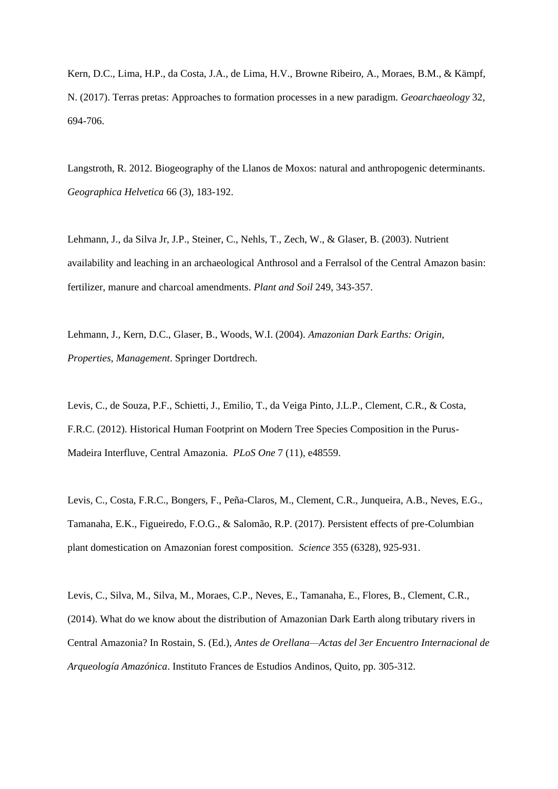Kern, D.C., Lima, H.P., da Costa, J.A., de Lima, H.V., Browne Ribeiro, A., Moraes, B.M., & Kämpf, N. (2017). Terras pretas: Approaches to formation processes in a new paradigm. *Geoarchaeology* 32, 694-706.

Langstroth, R. 2012. Biogeography of the Llanos de Moxos: natural and anthropogenic determinants. *Geographica Helvetica* 66 (3), 183-192.

Lehmann, J., da Silva Jr, J.P., Steiner, C., Nehls, T., Zech, W., & Glaser, B. (2003). Nutrient availability and leaching in an archaeological Anthrosol and a Ferralsol of the Central Amazon basin: fertilizer, manure and charcoal amendments. *Plant and Soil* 249, 343-357.

Lehmann, J., Kern, D.C., Glaser, B., Woods, W.I. (2004). *Amazonian Dark Earths: Origin, Properties, Management*. Springer Dortdrech.

Levis, C., de Souza, P.F., Schietti, J., Emilio, T., da Veiga Pinto, J.L.P., Clement, C.R., & Costa, F.R.C. (2012). Historical Human Footprint on Modern Tree Species Composition in the Purus-Madeira Interfluve, Central Amazonia. *PLoS One* 7 (11), e48559.

Levis, C., Costa, F.R.C., Bongers, F., Peña-Claros, M., Clement, C.R., Junqueira, A.B., Neves, E.G., Tamanaha, E.K., Figueiredo, F.O.G., & Salomão, R.P. (2017). Persistent effects of pre-Columbian plant domestication on Amazonian forest composition. *Science* 355 (6328), 925-931.

Levis, C., Silva, M., Silva, M., Moraes, C.P., Neves, E., Tamanaha, E., Flores, B., Clement, C.R., (2014). What do we know about the distribution of Amazonian Dark Earth along tributary rivers in Central Amazonia? In Rostain, S. (Ed.), *Antes de Orellana—Actas del 3er Encuentro Internacional de Arqueología Amazónica*. Instituto Frances de Estudios Andinos, Quito, pp. 305-312.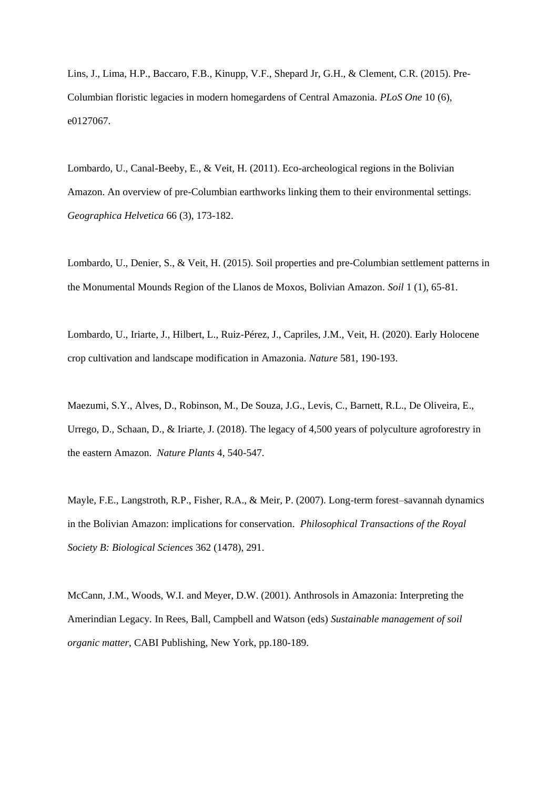Lins, J., Lima, H.P., Baccaro, F.B., Kinupp, V.F., Shepard Jr, G.H., & Clement, C.R. (2015). Pre-Columbian floristic legacies in modern homegardens of Central Amazonia. *PLoS One* 10 (6), e0127067.

Lombardo, U., Canal-Beeby, E., & Veit, H. (2011). Eco-archeological regions in the Bolivian Amazon. An overview of pre-Columbian earthworks linking them to their environmental settings. *Geographica Helvetica* 66 (3), 173-182.

Lombardo, U., Denier, S., & Veit, H. (2015). Soil properties and pre-Columbian settlement patterns in the Monumental Mounds Region of the Llanos de Moxos, Bolivian Amazon. *Soil* 1 (1), 65-81.

Lombardo, U., Iriarte, J., Hilbert, L., Ruiz-Pérez, J., Capriles, J.M., Veit, H. (2020). Early Holocene crop cultivation and landscape modification in Amazonia. *Nature* 581, 190-193.

Maezumi, S.Y., Alves, D., Robinson, M., De Souza, J.G., Levis, C., Barnett, R.L., De Oliveira, E., Urrego, D., Schaan, D., & Iriarte, J. (2018). The legacy of 4,500 years of polyculture agroforestry in the eastern Amazon. *Nature Plants* 4, 540-547.

Mayle, F.E., Langstroth, R.P., Fisher, R.A., & Meir, P. (2007). Long-term forest–savannah dynamics in the Bolivian Amazon: implications for conservation. *Philosophical Transactions of the Royal Society B: Biological Sciences* 362 (1478), 291.

McCann, J.M., Woods, W.I. and Meyer, D.W. (2001). Anthrosols in Amazonia: Interpreting the Amerindian Legacy*.* In Rees, Ball, Campbell and Watson (eds) *Sustainable management of soil organic matter,* CABI Publishing, New York, pp.180-189.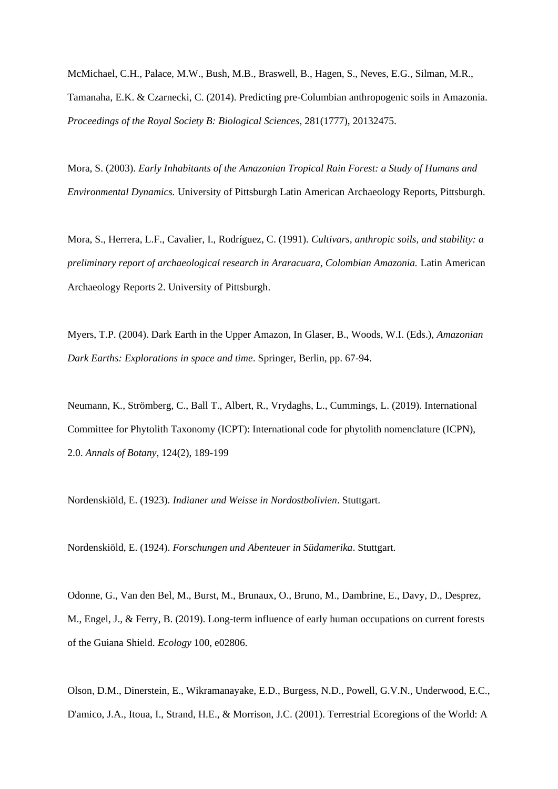McMichael, C.H., Palace, M.W., Bush, M.B., Braswell, B., Hagen, S., Neves, E.G., Silman, M.R., Tamanaha, E.K. & Czarnecki, C. (2014). Predicting pre-Columbian anthropogenic soils in Amazonia. *Proceedings of the Royal Society B: Biological Sciences*, 281(1777), 20132475.

Mora, S. (2003). *Early Inhabitants of the Amazonian Tropical Rain Forest: a Study of Humans and Environmental Dynamics.* University of Pittsburgh Latin American Archaeology Reports, Pittsburgh.

Mora, S., Herrera, L.F., Cavalier, I., Rodríguez, C. (1991). *Cultivars, anthropic soils, and stability: a preliminary report of archaeological research in Araracuara, Colombian Amazonia.* Latin American Archaeology Reports 2. University of Pittsburgh.

Myers, T.P. (2004). Dark Earth in the Upper Amazon, In Glaser, B., Woods, W.I. (Eds.), *Amazonian Dark Earths: Explorations in space and time*. Springer, Berlin, pp. 67-94.

Neumann, K., Strömberg, C., Ball T., Albert, R., Vrydaghs, L., Cummings, L. (2019). International Committee for Phytolith Taxonomy (ICPT): International code for phytolith nomenclature (ICPN), 2.0. *Annals of Botany*, 124(2), 189-199

Nordenskiöld, E. (1923). *Indianer und Weisse in Nordostbolivien*. Stuttgart.

Nordenskiöld, E. (1924). *Forschungen und Abenteuer in Südamerika*. Stuttgart.

Odonne, G., Van den Bel, M., Burst, M., Brunaux, O., Bruno, M., Dambrine, E., Davy, D., Desprez, M., Engel, J., & Ferry, B. (2019). Long-term influence of early human occupations on current forests of the Guiana Shield. *Ecology* 100, e02806.

Olson, D.M., Dinerstein, E., Wikramanayake, E.D., Burgess, N.D., Powell, G.V.N., Underwood, E.C., D'amico, J.A., Itoua, I., Strand, H.E., & Morrison, J.C. (2001). Terrestrial Ecoregions of the World: A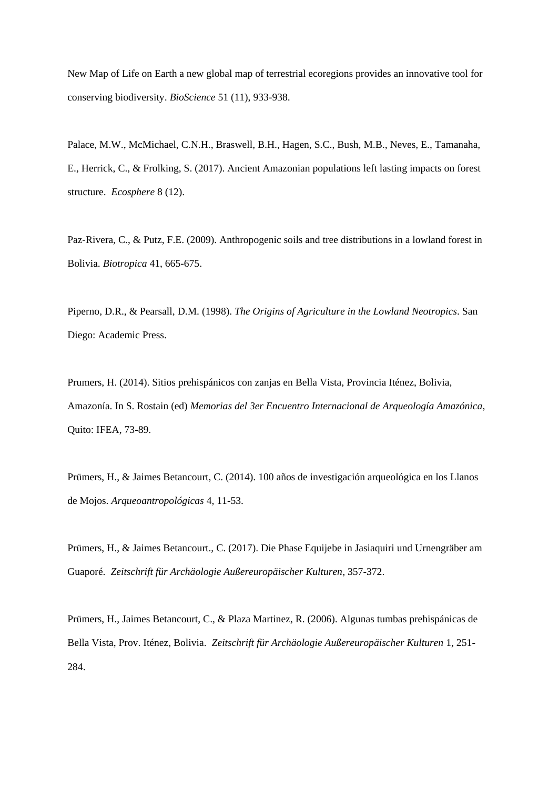New Map of Life on Earth a new global map of terrestrial ecoregions provides an innovative tool for conserving biodiversity. *BioScience* 51 (11), 933-938.

Palace, M.W., McMichael, C.N.H., Braswell, B.H., Hagen, S.C., Bush, M.B., Neves, E., Tamanaha, E., Herrick, C., & Frolking, S. (2017). Ancient Amazonian populations left lasting impacts on forest structure. *Ecosphere* 8 (12).

Paz‐Rivera, C., & Putz, F.E. (2009). Anthropogenic soils and tree distributions in a lowland forest in Bolivia. *Biotropica* 41, 665-675.

Piperno, D.R., & Pearsall, D.M. (1998). *The Origins of Agriculture in the Lowland Neotropics*. San Diego: Academic Press.

Prumers, H. (2014). Sitios prehispánicos con zanjas en Bella Vista, Provincia Iténez, Bolivia, Amazonía. In S. Rostain (ed) *Memorias del 3er Encuentro Internacional de Arqueología Amazónica*, Quito: IFEA, 73-89.

Prümers, H., & Jaimes Betancourt, C. (2014). 100 años de investigación arqueológica en los Llanos de Mojos. *Arqueoantropológicas* 4, 11-53.

Prümers, H., & Jaimes Betancourt., C. (2017). Die Phase Equijebe in Jasiaquiri und Urnengräber am Guaporé. *Zeitschrift für Archäologie Außereuropäischer Kulturen*, 357-372.

Prümers, H., Jaimes Betancourt, C., & Plaza Martinez, R. (2006). Algunas tumbas prehispánicas de Bella Vista, Prov. Iténez, Bolivia. *Zeitschrift für Archäologie Außereuropäischer Kulturen* 1, 251- 284.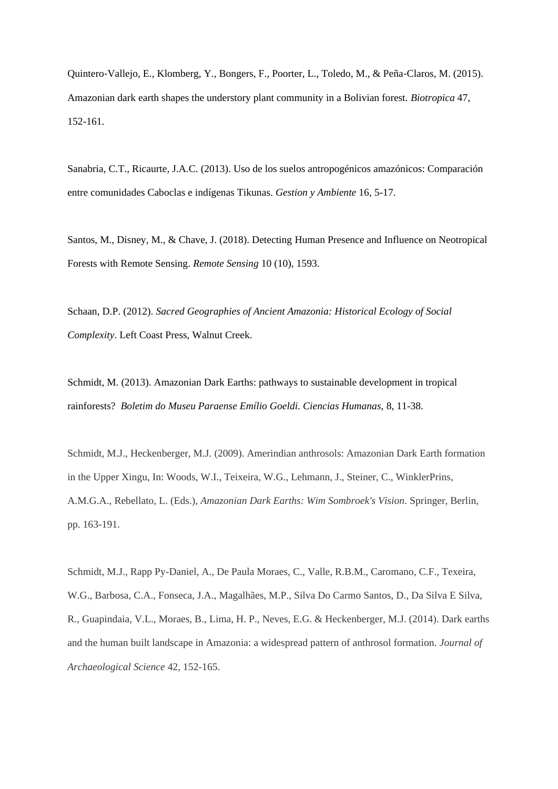Quintero‐Vallejo, E., Klomberg, Y., Bongers, F., Poorter, L., Toledo, M., & Peña‐Claros, M. (2015). Amazonian dark earth shapes the understory plant community in a Bolivian forest. *Biotropica* 47, 152-161.

Sanabria, C.T., Ricaurte, J.A.C. (2013). Uso de los suelos antropogénicos amazónicos: Comparación entre comunidades Caboclas e indígenas Tikunas. *Gestion y Ambiente* 16, 5-17.

Santos, M., Disney, M., & Chave, J. (2018). Detecting Human Presence and Influence on Neotropical Forests with Remote Sensing. *Remote Sensing* 10 (10), 1593.

Schaan, D.P. (2012). *Sacred Geographies of Ancient Amazonia: Historical Ecology of Social Complexity*. Left Coast Press, Walnut Creek.

Schmidt, M. (2013). Amazonian Dark Earths: pathways to sustainable development in tropical rainforests? *Boletim do Museu Paraense Emílio Goeldi. Ciencias Humanas,* 8, 11-38.

Schmidt, M.J., Heckenberger, M.J. (2009). Amerindian anthrosols: Amazonian Dark Earth formation in the Upper Xingu, In: Woods, W.I., Teixeira, W.G., Lehmann, J., Steiner, C., WinklerPrins, A.M.G.A., Rebellato, L. (Eds.), *Amazonian Dark Earths: Wim Sombroek's Vision*. Springer, Berlin, pp. 163-191.

Schmidt, M.J., Rapp Py-Daniel, A., De Paula Moraes, C., Valle, R.B.M., Caromano, C.F., Texeira, W.G., Barbosa, C.A., Fonseca, J.A., Magalhães, M.P., Silva Do Carmo Santos, D., Da Silva E Silva, R., Guapindaia, V.L., Moraes, B., Lima, H. P., Neves, E.G. & Heckenberger, M.J. (2014). Dark earths and the human built landscape in Amazonia: a widespread pattern of anthrosol formation. *Journal of Archaeological Science* 42, 152-165.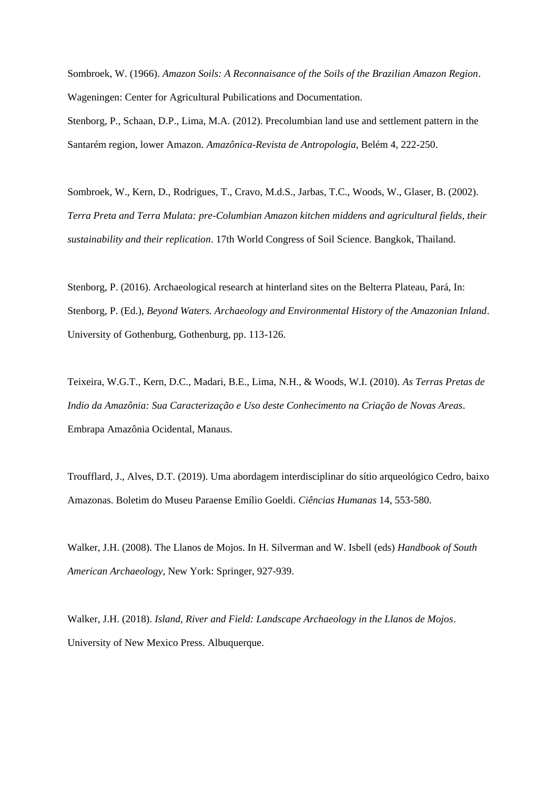Sombroek, W. (1966). *Amazon Soils: A Reconnaisance of the Soils of the Brazilian Amazon Region*. Wageningen: Center for Agricultural Pubilications and Documentation.

Stenborg, P., Schaan, D.P., Lima, M.A. (2012). Precolumbian land use and settlement pattern in the Santarém region, lower Amazon. *Amazônica-Revista de Antropologia*, Belém 4, 222-250.

Sombroek, W., Kern, D., Rodrigues, T., Cravo, M.d.S., Jarbas, T.C., Woods, W., Glaser, B. (2002). *Terra Preta and Terra Mulata: pre-Columbian Amazon kitchen middens and agricultural fields, their sustainability and their replication*. 17th World Congress of Soil Science. Bangkok, Thailand.

Stenborg, P. (2016). Archaeological research at hinterland sites on the Belterra Plateau, Pará, In: Stenborg, P. (Ed.), *Beyond Waters. Archaeology and Environmental History of the Amazonian Inland*. University of Gothenburg, Gothenburg, pp. 113-126.

Teixeira, W.G.T., Kern, D.C., Madari, B.E., Lima, N.H., & Woods, W.I. (2010). *As Terras Pretas de Indio da Amazônia: Sua Caracterização e Uso deste Conhecimento na Criação de Novas Areas*. Embrapa Amazônia Ocidental, Manaus.

Troufflard, J., Alves, D.T. (2019). Uma abordagem interdisciplinar do sítio arqueológico Cedro, baixo Amazonas. Boletim do Museu Paraense Emílio Goeldi. *Ciências Humanas* 14, 553-580.

Walker, J.H. (2008). The Llanos de Mojos. In H. Silverman and W. Isbell (eds) *Handbook of South American Archaeology*, New York: Springer, 927-939.

Walker, J.H. (2018). *Island, River and Field: Landscape Archaeology in the Llanos de Mojos*. University of New Mexico Press. Albuquerque.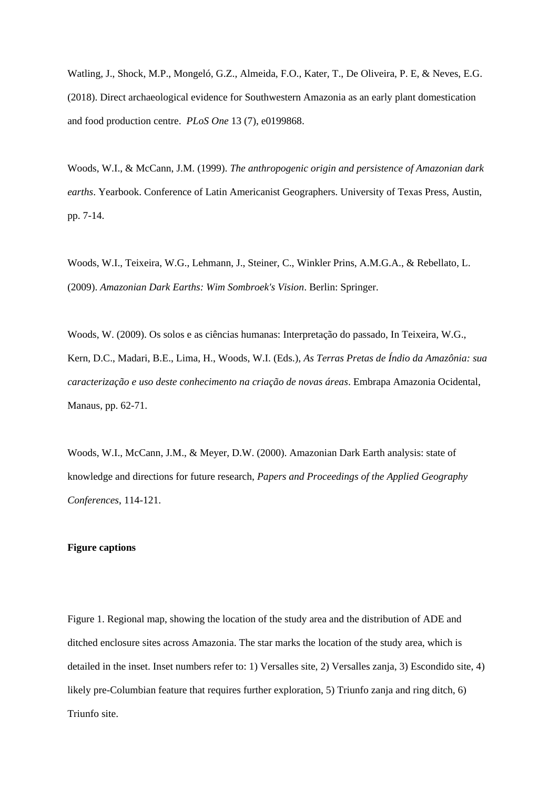Watling, J., Shock, M.P., Mongeló, G.Z., Almeida, F.O., Kater, T., De Oliveira, P. E, & Neves, E.G. (2018). Direct archaeological evidence for Southwestern Amazonia as an early plant domestication and food production centre. *PLoS One* 13 (7), e0199868.

Woods, W.I., & McCann, J.M. (1999). *The anthropogenic origin and persistence of Amazonian dark earths*. Yearbook. Conference of Latin Americanist Geographers. University of Texas Press, Austin, pp. 7-14.

Woods, W.I., Teixeira, W.G., Lehmann, J., Steiner, C., Winkler Prins, A.M.G.A., & Rebellato, L. (2009). *Amazonian Dark Earths: Wim Sombroek's Vision*. Berlin: Springer.

Woods, W. (2009). Os solos e as ciências humanas: Interpretação do passado, In Teixeira, W.G., Kern, D.C., Madari, B.E., Lima, H., Woods, W.I. (Eds.), *As Terras Pretas de Índio da Amazônia: sua caracterização e uso deste conhecimento na criação de novas áreas*. Embrapa Amazonia Ocidental, Manaus, pp. 62-71.

Woods, W.I., McCann, J.M., & Meyer, D.W. (2000). Amazonian Dark Earth analysis: state of knowledge and directions for future research, *Papers and Proceedings of the Applied Geography Conferences*, 114-121.

# **Figure captions**

Figure 1. Regional map, showing the location of the study area and the distribution of ADE and ditched enclosure sites across Amazonia. The star marks the location of the study area, which is detailed in the inset. Inset numbers refer to: 1) Versalles site, 2) Versalles zanja, 3) Escondido site, 4) likely pre-Columbian feature that requires further exploration, 5) Triunfo zanja and ring ditch, 6) Triunfo site.